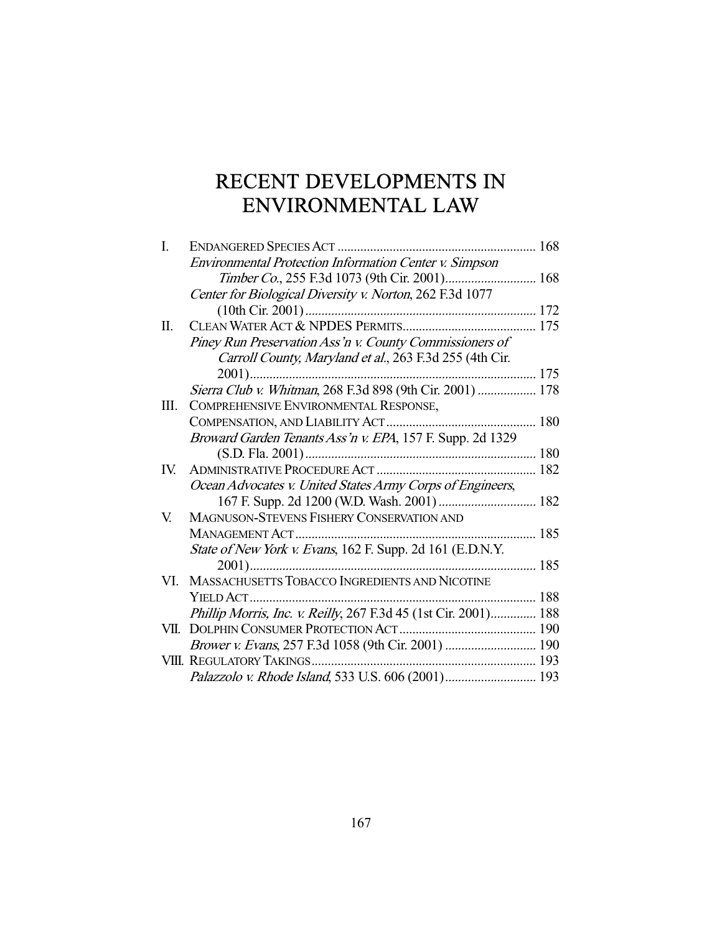# RECENT DEVELOPMENTS IN ENVIRONMENTAL LAW

| I.   | ENDANGERED SPECIES ACT                                          | 168 |
|------|-----------------------------------------------------------------|-----|
|      | <b>Environmental Protection Information Center v. Simpson</b>   |     |
|      |                                                                 |     |
|      | Center for Biological Diversity v. Norton, 262 F.3d 1077        |     |
|      |                                                                 |     |
| Π.   |                                                                 |     |
|      | Piney Run Preservation Ass'n v. County Commissioners of         |     |
|      | Carroll County, Maryland et al., 263 F.3d 255 (4th Cir.         |     |
|      |                                                                 |     |
|      | Sierra Club v. Whitman, 268 F.3d 898 (9th Cir. 2001)  178       |     |
| Ш.   | COMPREHENSIVE ENVIRONMENTAL RESPONSE,                           |     |
|      |                                                                 |     |
|      | Broward Garden Tenants Ass'n v. EPA, 157 F. Supp. 2d 1329       |     |
|      |                                                                 |     |
| IV.  |                                                                 |     |
|      | Ocean Advocates v. United States Army Corps of Engineers,       |     |
|      | 167 F. Supp. 2d 1200 (W.D. Wash. 2001)  182                     |     |
| V.   | MAGNUSON-STEVENS FISHERY CONSERVATION AND                       |     |
|      |                                                                 |     |
|      | State of New York v. Evans, 162 F. Supp. 2d 161 (E.D.N.Y.       |     |
|      |                                                                 |     |
| VI.  | MASSACHUSETTS TOBACCO INGREDIENTS AND NICOTINE                  |     |
|      |                                                                 |     |
|      | Phillip Morris, Inc. v. Reilly, 267 F.3d 45 (1st Cir. 2001) 188 |     |
| VII. |                                                                 |     |
|      |                                                                 |     |
|      |                                                                 |     |
|      |                                                                 |     |
|      |                                                                 |     |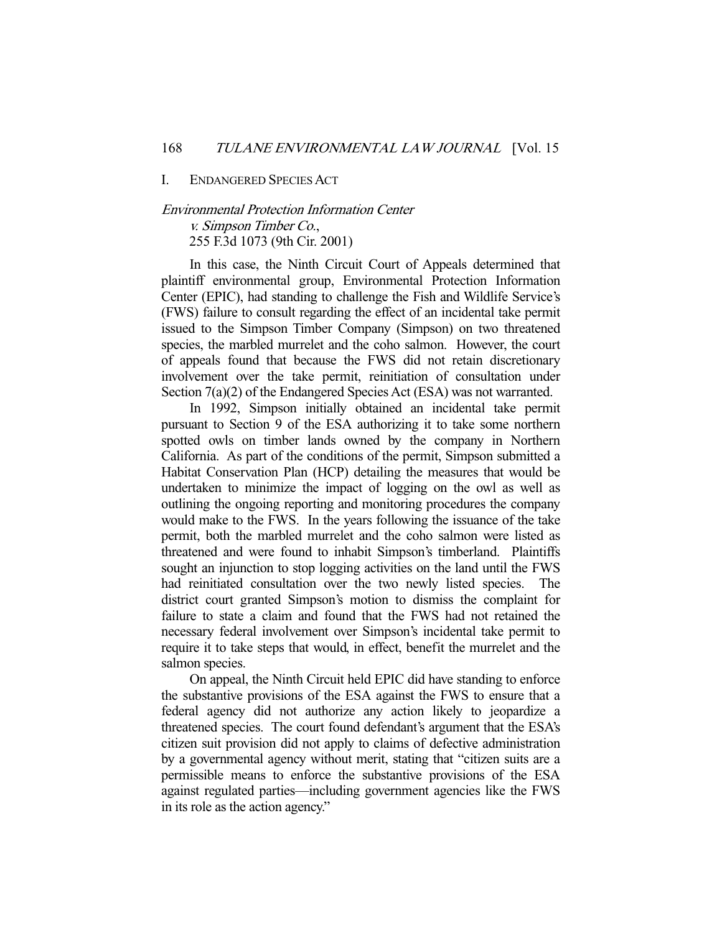I. ENDANGERED SPECIES ACT

## Environmental Protection Information Center v. Simpson Timber Co., 255 F.3d 1073 (9th Cir. 2001)

 In this case, the Ninth Circuit Court of Appeals determined that plaintiff environmental group, Environmental Protection Information Center (EPIC), had standing to challenge the Fish and Wildlife Service's (FWS) failure to consult regarding the effect of an incidental take permit issued to the Simpson Timber Company (Simpson) on two threatened species, the marbled murrelet and the coho salmon. However, the court of appeals found that because the FWS did not retain discretionary involvement over the take permit, reinitiation of consultation under Section 7(a)(2) of the Endangered Species Act (ESA) was not warranted.

 In 1992, Simpson initially obtained an incidental take permit pursuant to Section 9 of the ESA authorizing it to take some northern spotted owls on timber lands owned by the company in Northern California. As part of the conditions of the permit, Simpson submitted a Habitat Conservation Plan (HCP) detailing the measures that would be undertaken to minimize the impact of logging on the owl as well as outlining the ongoing reporting and monitoring procedures the company would make to the FWS. In the years following the issuance of the take permit, both the marbled murrelet and the coho salmon were listed as threatened and were found to inhabit Simpson's timberland. Plaintiffs sought an injunction to stop logging activities on the land until the FWS had reinitiated consultation over the two newly listed species. The district court granted Simpson's motion to dismiss the complaint for failure to state a claim and found that the FWS had not retained the necessary federal involvement over Simpson's incidental take permit to require it to take steps that would, in effect, benefit the murrelet and the salmon species.

 On appeal, the Ninth Circuit held EPIC did have standing to enforce the substantive provisions of the ESA against the FWS to ensure that a federal agency did not authorize any action likely to jeopardize a threatened species. The court found defendant's argument that the ESA's citizen suit provision did not apply to claims of defective administration by a governmental agency without merit, stating that "citizen suits are a permissible means to enforce the substantive provisions of the ESA against regulated parties—including government agencies like the FWS in its role as the action agency."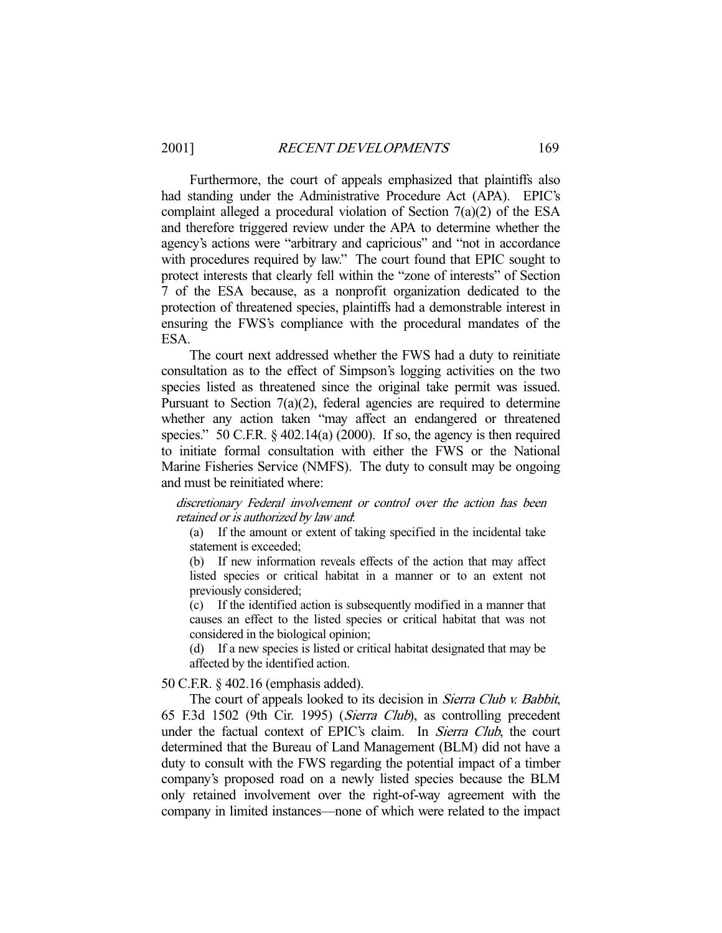Furthermore, the court of appeals emphasized that plaintiffs also had standing under the Administrative Procedure Act (APA). EPIC's complaint alleged a procedural violation of Section 7(a)(2) of the ESA and therefore triggered review under the APA to determine whether the agency's actions were "arbitrary and capricious" and "not in accordance with procedures required by law." The court found that EPIC sought to protect interests that clearly fell within the "zone of interests" of Section 7 of the ESA because, as a nonprofit organization dedicated to the protection of threatened species, plaintiffs had a demonstrable interest in ensuring the FWS's compliance with the procedural mandates of the ESA.

 The court next addressed whether the FWS had a duty to reinitiate consultation as to the effect of Simpson's logging activities on the two species listed as threatened since the original take permit was issued. Pursuant to Section 7(a)(2), federal agencies are required to determine whether any action taken "may affect an endangered or threatened species." 50 C.F.R.  $\frac{6}{9}$  402.14(a) (2000). If so, the agency is then required to initiate formal consultation with either the FWS or the National Marine Fisheries Service (NMFS). The duty to consult may be ongoing and must be reinitiated where:

discretionary Federal involvement or control over the action has been retained or is authorized by law and:

(a) If the amount or extent of taking specified in the incidental take statement is exceeded;

(b) If new information reveals effects of the action that may affect listed species or critical habitat in a manner or to an extent not previously considered;

(c) If the identified action is subsequently modified in a manner that causes an effect to the listed species or critical habitat that was not considered in the biological opinion;

(d) If a new species is listed or critical habitat designated that may be affected by the identified action.

50 C.F.R. § 402.16 (emphasis added).

The court of appeals looked to its decision in Sierra Club v. Babbit, 65 F.3d 1502 (9th Cir. 1995) (Sierra Club), as controlling precedent under the factual context of EPIC's claim. In Sierra Club, the court determined that the Bureau of Land Management (BLM) did not have a duty to consult with the FWS regarding the potential impact of a timber company's proposed road on a newly listed species because the BLM only retained involvement over the right-of-way agreement with the company in limited instances—none of which were related to the impact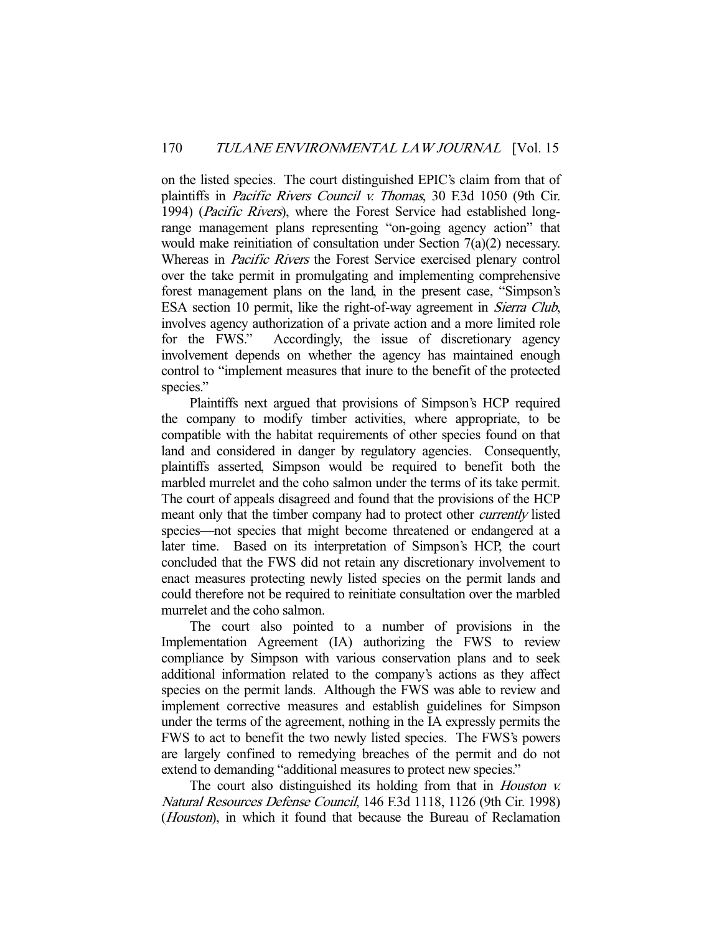on the listed species. The court distinguished EPIC's claim from that of plaintiffs in Pacific Rivers Council v. Thomas, 30 F.3d 1050 (9th Cir. 1994) (Pacific Rivers), where the Forest Service had established longrange management plans representing "on-going agency action" that would make reinitiation of consultation under Section 7(a)(2) necessary. Whereas in Pacific Rivers the Forest Service exercised plenary control over the take permit in promulgating and implementing comprehensive forest management plans on the land, in the present case, "Simpson's ESA section 10 permit, like the right-of-way agreement in Sierra Club, involves agency authorization of a private action and a more limited role for the FWS." Accordingly, the issue of discretionary agency involvement depends on whether the agency has maintained enough control to "implement measures that inure to the benefit of the protected species."

 Plaintiffs next argued that provisions of Simpson's HCP required the company to modify timber activities, where appropriate, to be compatible with the habitat requirements of other species found on that land and considered in danger by regulatory agencies. Consequently, plaintiffs asserted, Simpson would be required to benefit both the marbled murrelet and the coho salmon under the terms of its take permit. The court of appeals disagreed and found that the provisions of the HCP meant only that the timber company had to protect other currently listed species—not species that might become threatened or endangered at a later time. Based on its interpretation of Simpson's HCP, the court concluded that the FWS did not retain any discretionary involvement to enact measures protecting newly listed species on the permit lands and could therefore not be required to reinitiate consultation over the marbled murrelet and the coho salmon.

 The court also pointed to a number of provisions in the Implementation Agreement (IA) authorizing the FWS to review compliance by Simpson with various conservation plans and to seek additional information related to the company's actions as they affect species on the permit lands. Although the FWS was able to review and implement corrective measures and establish guidelines for Simpson under the terms of the agreement, nothing in the IA expressly permits the FWS to act to benefit the two newly listed species. The FWS's powers are largely confined to remedying breaches of the permit and do not extend to demanding "additional measures to protect new species."

The court also distinguished its holding from that in *Houston v.* Natural Resources Defense Council, 146 F.3d 1118, 1126 (9th Cir. 1998) (*Houston*), in which it found that because the Bureau of Reclamation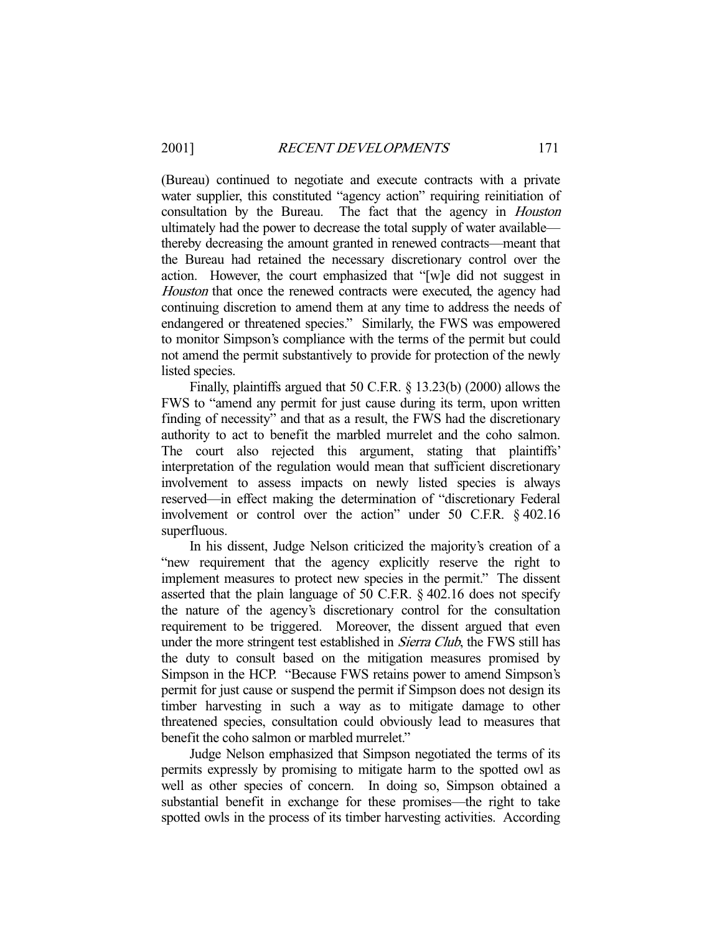(Bureau) continued to negotiate and execute contracts with a private water supplier, this constituted "agency action" requiring reinitiation of consultation by the Bureau. The fact that the agency in Houston ultimately had the power to decrease the total supply of water available thereby decreasing the amount granted in renewed contracts—meant that the Bureau had retained the necessary discretionary control over the action. However, the court emphasized that "[w]e did not suggest in Houston that once the renewed contracts were executed, the agency had continuing discretion to amend them at any time to address the needs of endangered or threatened species." Similarly, the FWS was empowered to monitor Simpson's compliance with the terms of the permit but could not amend the permit substantively to provide for protection of the newly listed species.

 Finally, plaintiffs argued that 50 C.F.R. § 13.23(b) (2000) allows the FWS to "amend any permit for just cause during its term, upon written finding of necessity" and that as a result, the FWS had the discretionary authority to act to benefit the marbled murrelet and the coho salmon. The court also rejected this argument, stating that plaintiffs' interpretation of the regulation would mean that sufficient discretionary involvement to assess impacts on newly listed species is always reserved—in effect making the determination of "discretionary Federal involvement or control over the action" under 50 C.F.R. § 402.16 superfluous.

 In his dissent, Judge Nelson criticized the majority's creation of a "new requirement that the agency explicitly reserve the right to implement measures to protect new species in the permit." The dissent asserted that the plain language of 50 C.F.R. § 402.16 does not specify the nature of the agency's discretionary control for the consultation requirement to be triggered. Moreover, the dissent argued that even under the more stringent test established in *Sierra Club*, the FWS still has the duty to consult based on the mitigation measures promised by Simpson in the HCP. "Because FWS retains power to amend Simpson's permit for just cause or suspend the permit if Simpson does not design its timber harvesting in such a way as to mitigate damage to other threatened species, consultation could obviously lead to measures that benefit the coho salmon or marbled murrelet."

 Judge Nelson emphasized that Simpson negotiated the terms of its permits expressly by promising to mitigate harm to the spotted owl as well as other species of concern. In doing so, Simpson obtained a substantial benefit in exchange for these promises—the right to take spotted owls in the process of its timber harvesting activities. According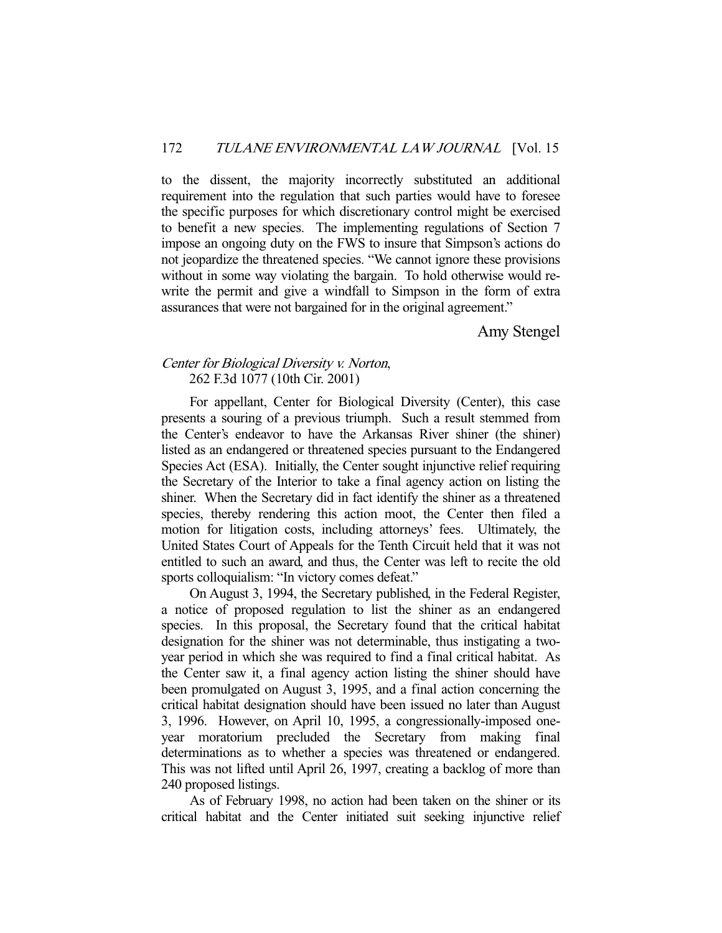to the dissent, the majority incorrectly substituted an additional requirement into the regulation that such parties would have to foresee the specific purposes for which discretionary control might be exercised to benefit a new species. The implementing regulations of Section 7 impose an ongoing duty on the FWS to insure that Simpson's actions do not jeopardize the threatened species. "We cannot ignore these provisions without in some way violating the bargain. To hold otherwise would rewrite the permit and give a windfall to Simpson in the form of extra assurances that were not bargained for in the original agreement."

Amy Stengel

## Center for Biological Diversity v. Norton, 262 F.3d 1077 (10th Cir. 2001)

 For appellant, Center for Biological Diversity (Center), this case presents a souring of a previous triumph. Such a result stemmed from the Center's endeavor to have the Arkansas River shiner (the shiner) listed as an endangered or threatened species pursuant to the Endangered Species Act (ESA). Initially, the Center sought injunctive relief requiring the Secretary of the Interior to take a final agency action on listing the shiner. When the Secretary did in fact identify the shiner as a threatened species, thereby rendering this action moot, the Center then filed a motion for litigation costs, including attorneys' fees. Ultimately, the United States Court of Appeals for the Tenth Circuit held that it was not entitled to such an award, and thus, the Center was left to recite the old sports colloquialism: "In victory comes defeat."

 On August 3, 1994, the Secretary published, in the Federal Register, a notice of proposed regulation to list the shiner as an endangered species. In this proposal, the Secretary found that the critical habitat designation for the shiner was not determinable, thus instigating a twoyear period in which she was required to find a final critical habitat. As the Center saw it, a final agency action listing the shiner should have been promulgated on August 3, 1995, and a final action concerning the critical habitat designation should have been issued no later than August 3, 1996. However, on April 10, 1995, a congressionally-imposed oneyear moratorium precluded the Secretary from making final determinations as to whether a species was threatened or endangered. This was not lifted until April 26, 1997, creating a backlog of more than 240 proposed listings.

 As of February 1998, no action had been taken on the shiner or its critical habitat and the Center initiated suit seeking injunctive relief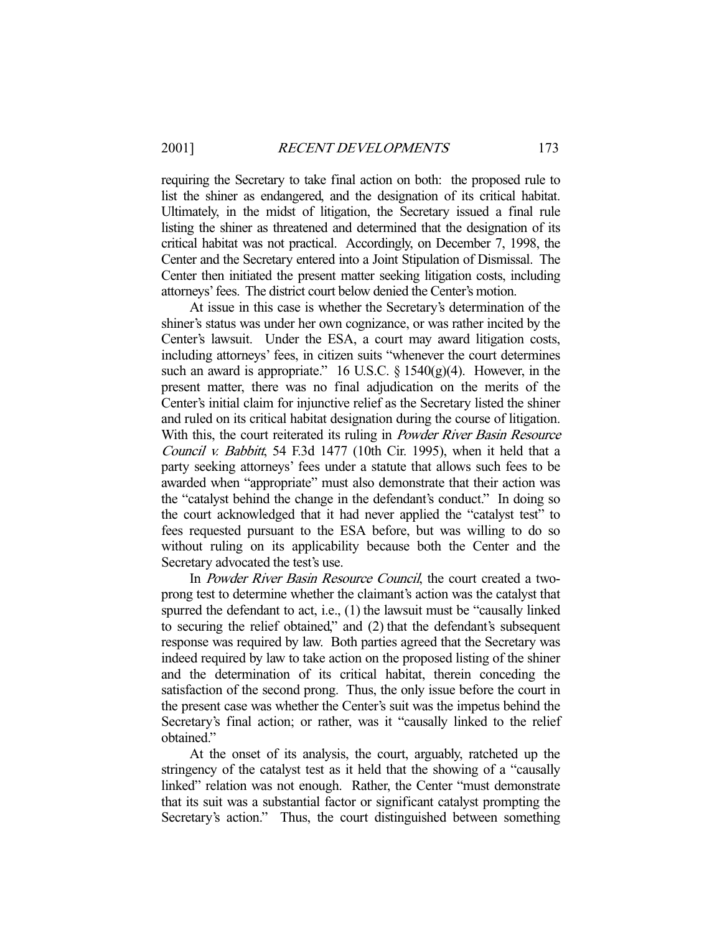requiring the Secretary to take final action on both: the proposed rule to list the shiner as endangered, and the designation of its critical habitat. Ultimately, in the midst of litigation, the Secretary issued a final rule listing the shiner as threatened and determined that the designation of its critical habitat was not practical. Accordingly, on December 7, 1998, the Center and the Secretary entered into a Joint Stipulation of Dismissal. The Center then initiated the present matter seeking litigation costs, including attorneys' fees. The district court below denied the Center's motion.

 At issue in this case is whether the Secretary's determination of the shiner's status was under her own cognizance, or was rather incited by the Center's lawsuit. Under the ESA, a court may award litigation costs, including attorneys' fees, in citizen suits "whenever the court determines such an award is appropriate." 16 U.S.C.  $\S$  1540(g)(4). However, in the present matter, there was no final adjudication on the merits of the Center's initial claim for injunctive relief as the Secretary listed the shiner and ruled on its critical habitat designation during the course of litigation. With this, the court reiterated its ruling in *Powder River Basin Resource* Council v. Babbitt, 54 F.3d 1477 (10th Cir. 1995), when it held that a party seeking attorneys' fees under a statute that allows such fees to be awarded when "appropriate" must also demonstrate that their action was the "catalyst behind the change in the defendant's conduct." In doing so the court acknowledged that it had never applied the "catalyst test" to fees requested pursuant to the ESA before, but was willing to do so without ruling on its applicability because both the Center and the Secretary advocated the test's use.

In *Powder River Basin Resource Council*, the court created a twoprong test to determine whether the claimant's action was the catalyst that spurred the defendant to act, i.e., (1) the lawsuit must be "causally linked to securing the relief obtained," and (2) that the defendant's subsequent response was required by law. Both parties agreed that the Secretary was indeed required by law to take action on the proposed listing of the shiner and the determination of its critical habitat, therein conceding the satisfaction of the second prong. Thus, the only issue before the court in the present case was whether the Center's suit was the impetus behind the Secretary's final action; or rather, was it "causally linked to the relief obtained."

 At the onset of its analysis, the court, arguably, ratcheted up the stringency of the catalyst test as it held that the showing of a "causally linked" relation was not enough. Rather, the Center "must demonstrate that its suit was a substantial factor or significant catalyst prompting the Secretary's action." Thus, the court distinguished between something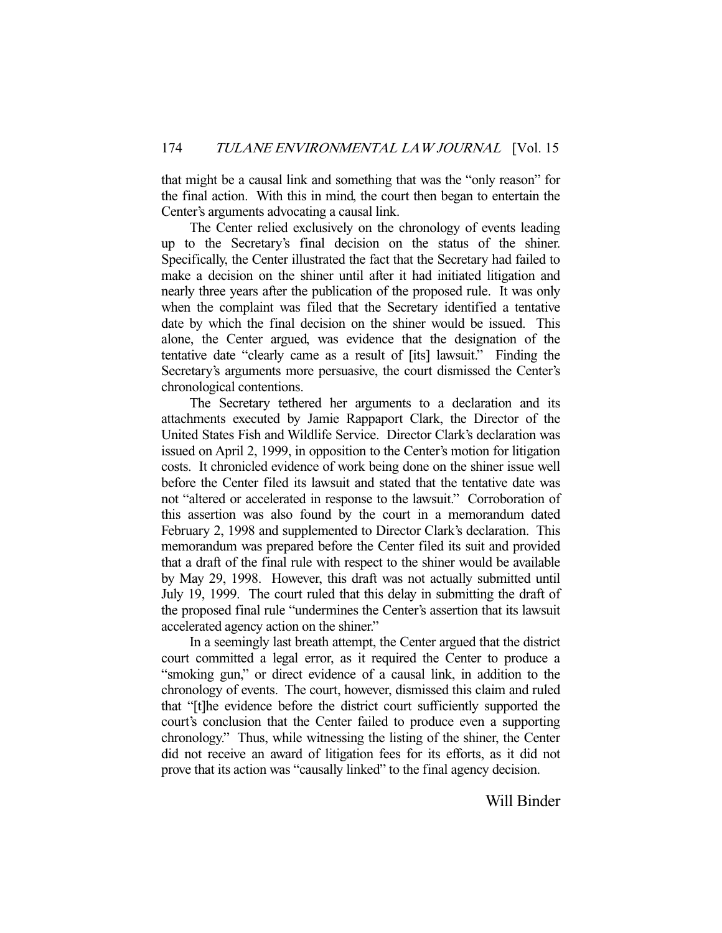that might be a causal link and something that was the "only reason" for the final action. With this in mind, the court then began to entertain the Center's arguments advocating a causal link.

 The Center relied exclusively on the chronology of events leading up to the Secretary's final decision on the status of the shiner. Specifically, the Center illustrated the fact that the Secretary had failed to make a decision on the shiner until after it had initiated litigation and nearly three years after the publication of the proposed rule. It was only when the complaint was filed that the Secretary identified a tentative date by which the final decision on the shiner would be issued. This alone, the Center argued, was evidence that the designation of the tentative date "clearly came as a result of [its] lawsuit." Finding the Secretary's arguments more persuasive, the court dismissed the Center's chronological contentions.

 The Secretary tethered her arguments to a declaration and its attachments executed by Jamie Rappaport Clark, the Director of the United States Fish and Wildlife Service. Director Clark's declaration was issued on April 2, 1999, in opposition to the Center's motion for litigation costs. It chronicled evidence of work being done on the shiner issue well before the Center filed its lawsuit and stated that the tentative date was not "altered or accelerated in response to the lawsuit." Corroboration of this assertion was also found by the court in a memorandum dated February 2, 1998 and supplemented to Director Clark's declaration. This memorandum was prepared before the Center filed its suit and provided that a draft of the final rule with respect to the shiner would be available by May 29, 1998. However, this draft was not actually submitted until July 19, 1999. The court ruled that this delay in submitting the draft of the proposed final rule "undermines the Center's assertion that its lawsuit accelerated agency action on the shiner."

 In a seemingly last breath attempt, the Center argued that the district court committed a legal error, as it required the Center to produce a "smoking gun," or direct evidence of a causal link, in addition to the chronology of events. The court, however, dismissed this claim and ruled that "[t]he evidence before the district court sufficiently supported the court's conclusion that the Center failed to produce even a supporting chronology." Thus, while witnessing the listing of the shiner, the Center did not receive an award of litigation fees for its efforts, as it did not prove that its action was "causally linked" to the final agency decision.

Will Binder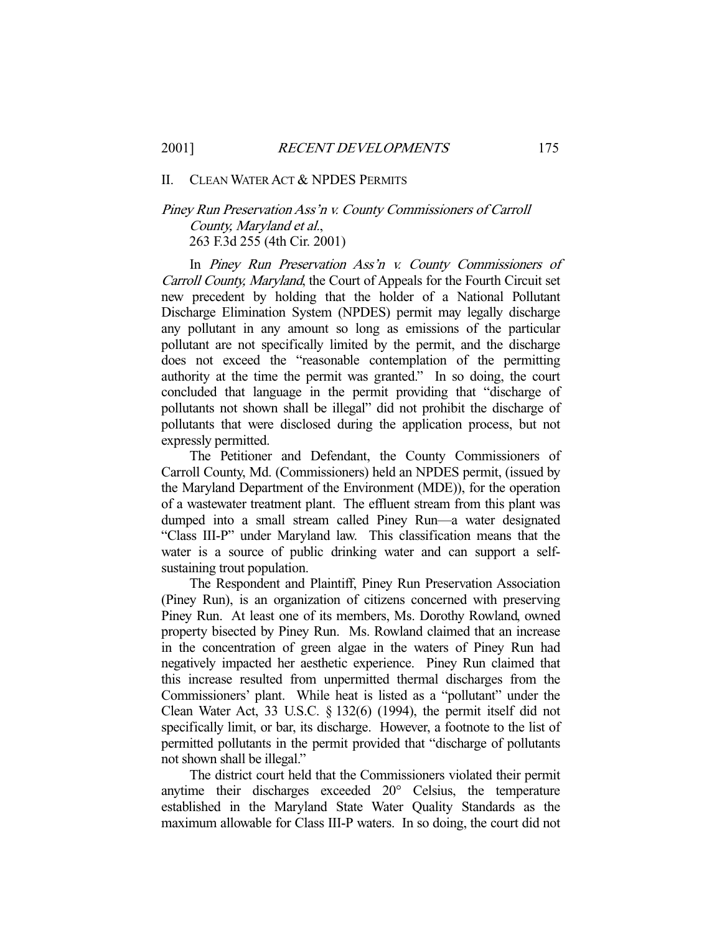#### II. CLEAN WATER ACT & NPDES PERMITS

## Piney Run Preservation Ass'n v. County Commissioners of Carroll County, Maryland et al., 263 F.3d 255 (4th Cir. 2001)

 In Piney Run Preservation Ass'n v. County Commissioners of Carroll County, Maryland, the Court of Appeals for the Fourth Circuit set new precedent by holding that the holder of a National Pollutant Discharge Elimination System (NPDES) permit may legally discharge any pollutant in any amount so long as emissions of the particular pollutant are not specifically limited by the permit, and the discharge does not exceed the "reasonable contemplation of the permitting authority at the time the permit was granted." In so doing, the court concluded that language in the permit providing that "discharge of pollutants not shown shall be illegal" did not prohibit the discharge of pollutants that were disclosed during the application process, but not expressly permitted.

 The Petitioner and Defendant, the County Commissioners of Carroll County, Md. (Commissioners) held an NPDES permit, (issued by the Maryland Department of the Environment (MDE)), for the operation of a wastewater treatment plant. The effluent stream from this plant was dumped into a small stream called Piney Run—a water designated "Class III-P" under Maryland law. This classification means that the water is a source of public drinking water and can support a selfsustaining trout population.

 The Respondent and Plaintiff, Piney Run Preservation Association (Piney Run), is an organization of citizens concerned with preserving Piney Run. At least one of its members, Ms. Dorothy Rowland, owned property bisected by Piney Run. Ms. Rowland claimed that an increase in the concentration of green algae in the waters of Piney Run had negatively impacted her aesthetic experience. Piney Run claimed that this increase resulted from unpermitted thermal discharges from the Commissioners' plant. While heat is listed as a "pollutant" under the Clean Water Act, 33 U.S.C. § 132(6) (1994), the permit itself did not specifically limit, or bar, its discharge. However, a footnote to the list of permitted pollutants in the permit provided that "discharge of pollutants not shown shall be illegal."

 The district court held that the Commissioners violated their permit anytime their discharges exceeded 20° Celsius, the temperature established in the Maryland State Water Quality Standards as the maximum allowable for Class III-P waters. In so doing, the court did not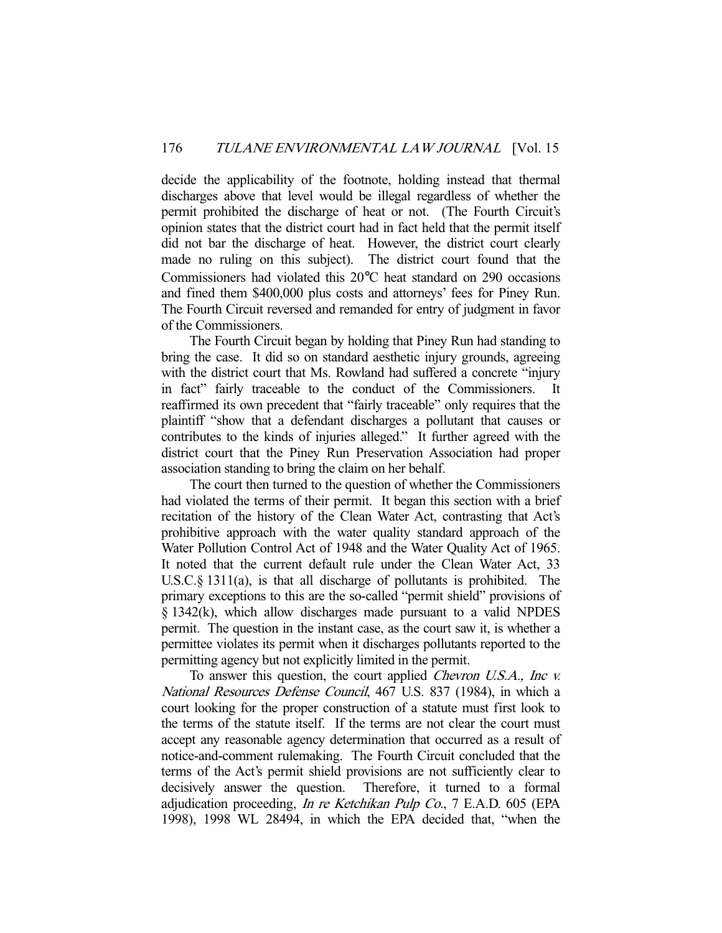decide the applicability of the footnote, holding instead that thermal discharges above that level would be illegal regardless of whether the permit prohibited the discharge of heat or not. (The Fourth Circuit's opinion states that the district court had in fact held that the permit itself did not bar the discharge of heat. However, the district court clearly made no ruling on this subject). The district court found that the Commissioners had violated this 20°C heat standard on 290 occasions and fined them \$400,000 plus costs and attorneys' fees for Piney Run. The Fourth Circuit reversed and remanded for entry of judgment in favor of the Commissioners.

 The Fourth Circuit began by holding that Piney Run had standing to bring the case. It did so on standard aesthetic injury grounds, agreeing with the district court that Ms. Rowland had suffered a concrete "injury in fact" fairly traceable to the conduct of the Commissioners. reaffirmed its own precedent that "fairly traceable" only requires that the plaintiff "show that a defendant discharges a pollutant that causes or contributes to the kinds of injuries alleged." It further agreed with the district court that the Piney Run Preservation Association had proper association standing to bring the claim on her behalf.

 The court then turned to the question of whether the Commissioners had violated the terms of their permit. It began this section with a brief recitation of the history of the Clean Water Act, contrasting that Act's prohibitive approach with the water quality standard approach of the Water Pollution Control Act of 1948 and the Water Quality Act of 1965. It noted that the current default rule under the Clean Water Act, 33 U.S.C.§ 1311(a), is that all discharge of pollutants is prohibited. The primary exceptions to this are the so-called "permit shield" provisions of § 1342(k), which allow discharges made pursuant to a valid NPDES permit. The question in the instant case, as the court saw it, is whether a permittee violates its permit when it discharges pollutants reported to the permitting agency but not explicitly limited in the permit.

To answer this question, the court applied *Chevron U.S.A.*, Inc v. National Resources Defense Council, 467 U.S. 837 (1984), in which a court looking for the proper construction of a statute must first look to the terms of the statute itself. If the terms are not clear the court must accept any reasonable agency determination that occurred as a result of notice-and-comment rulemaking. The Fourth Circuit concluded that the terms of the Act's permit shield provisions are not sufficiently clear to decisively answer the question. Therefore, it turned to a formal adjudication proceeding, In re Ketchikan Pulp Co., 7 E.A.D. 605 (EPA 1998), 1998 WL 28494, in which the EPA decided that, "when the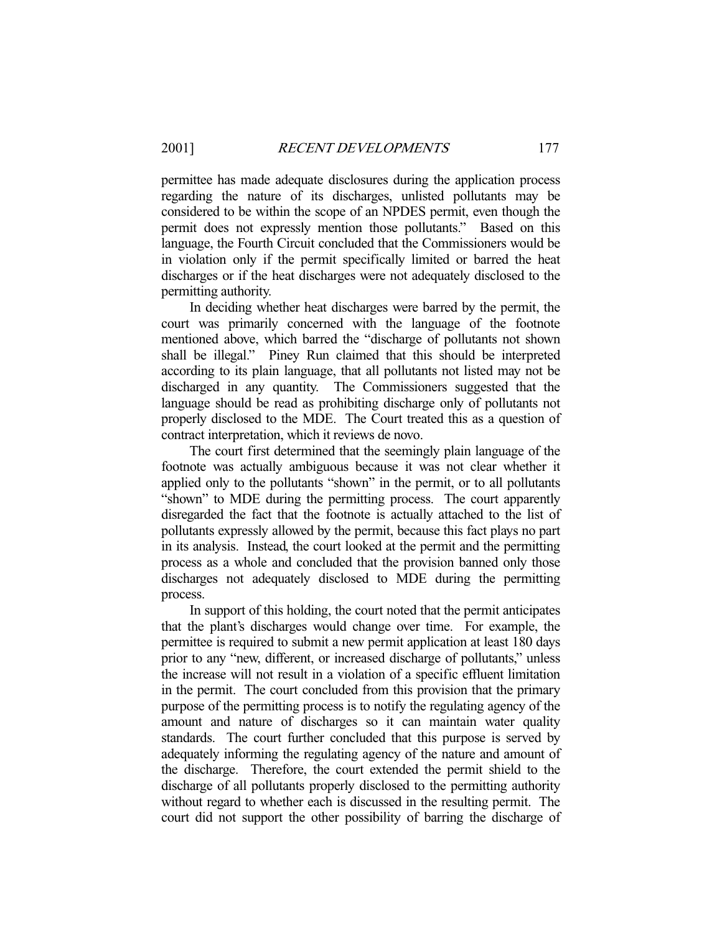permittee has made adequate disclosures during the application process regarding the nature of its discharges, unlisted pollutants may be considered to be within the scope of an NPDES permit, even though the permit does not expressly mention those pollutants." Based on this language, the Fourth Circuit concluded that the Commissioners would be in violation only if the permit specifically limited or barred the heat discharges or if the heat discharges were not adequately disclosed to the permitting authority.

 In deciding whether heat discharges were barred by the permit, the court was primarily concerned with the language of the footnote mentioned above, which barred the "discharge of pollutants not shown shall be illegal." Piney Run claimed that this should be interpreted according to its plain language, that all pollutants not listed may not be discharged in any quantity. The Commissioners suggested that the language should be read as prohibiting discharge only of pollutants not properly disclosed to the MDE. The Court treated this as a question of contract interpretation, which it reviews de novo.

 The court first determined that the seemingly plain language of the footnote was actually ambiguous because it was not clear whether it applied only to the pollutants "shown" in the permit, or to all pollutants "shown" to MDE during the permitting process. The court apparently disregarded the fact that the footnote is actually attached to the list of pollutants expressly allowed by the permit, because this fact plays no part in its analysis. Instead, the court looked at the permit and the permitting process as a whole and concluded that the provision banned only those discharges not adequately disclosed to MDE during the permitting process.

 In support of this holding, the court noted that the permit anticipates that the plant's discharges would change over time. For example, the permittee is required to submit a new permit application at least 180 days prior to any "new, different, or increased discharge of pollutants," unless the increase will not result in a violation of a specific effluent limitation in the permit. The court concluded from this provision that the primary purpose of the permitting process is to notify the regulating agency of the amount and nature of discharges so it can maintain water quality standards. The court further concluded that this purpose is served by adequately informing the regulating agency of the nature and amount of the discharge. Therefore, the court extended the permit shield to the discharge of all pollutants properly disclosed to the permitting authority without regard to whether each is discussed in the resulting permit. The court did not support the other possibility of barring the discharge of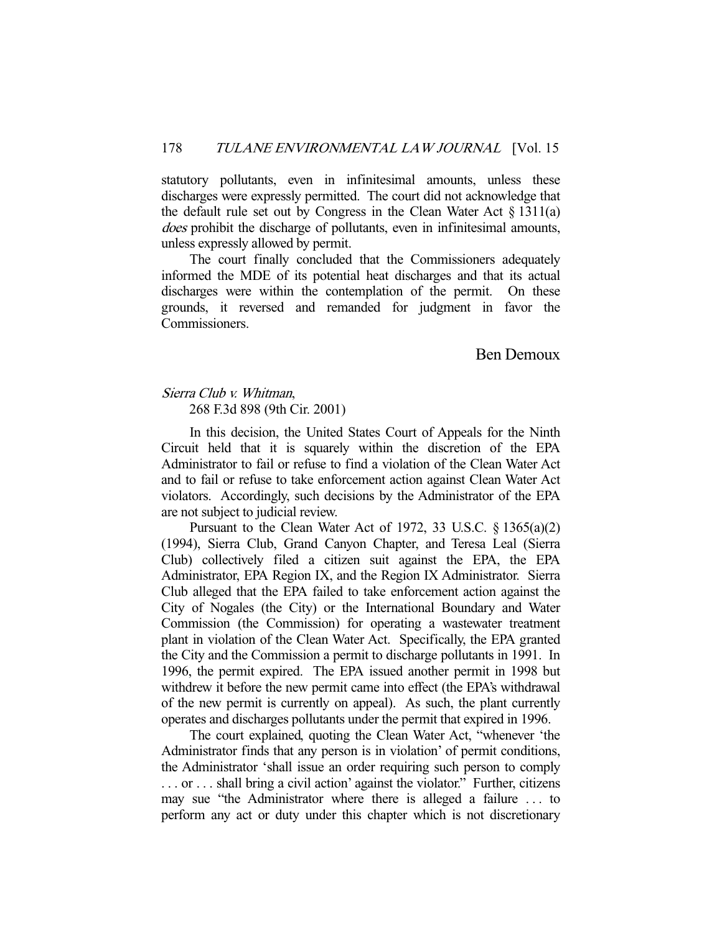statutory pollutants, even in infinitesimal amounts, unless these discharges were expressly permitted. The court did not acknowledge that the default rule set out by Congress in the Clean Water Act  $\S 1311(a)$ does prohibit the discharge of pollutants, even in infinitesimal amounts, unless expressly allowed by permit.

 The court finally concluded that the Commissioners adequately informed the MDE of its potential heat discharges and that its actual discharges were within the contemplation of the permit. On these grounds, it reversed and remanded for judgment in favor the Commissioners.

## Ben Demoux

## Sierra Club v. Whitman, 268 F.3d 898 (9th Cir. 2001)

 In this decision, the United States Court of Appeals for the Ninth Circuit held that it is squarely within the discretion of the EPA Administrator to fail or refuse to find a violation of the Clean Water Act and to fail or refuse to take enforcement action against Clean Water Act violators. Accordingly, such decisions by the Administrator of the EPA are not subject to judicial review.

 Pursuant to the Clean Water Act of 1972, 33 U.S.C. § 1365(a)(2) (1994), Sierra Club, Grand Canyon Chapter, and Teresa Leal (Sierra Club) collectively filed a citizen suit against the EPA, the EPA Administrator, EPA Region IX, and the Region IX Administrator. Sierra Club alleged that the EPA failed to take enforcement action against the City of Nogales (the City) or the International Boundary and Water Commission (the Commission) for operating a wastewater treatment plant in violation of the Clean Water Act. Specifically, the EPA granted the City and the Commission a permit to discharge pollutants in 1991. In 1996, the permit expired. The EPA issued another permit in 1998 but withdrew it before the new permit came into effect (the EPA's withdrawal of the new permit is currently on appeal). As such, the plant currently operates and discharges pollutants under the permit that expired in 1996.

 The court explained, quoting the Clean Water Act, "whenever 'the Administrator finds that any person is in violation' of permit conditions, the Administrator 'shall issue an order requiring such person to comply . . . or . . . shall bring a civil action' against the violator." Further, citizens may sue "the Administrator where there is alleged a failure . . . to perform any act or duty under this chapter which is not discretionary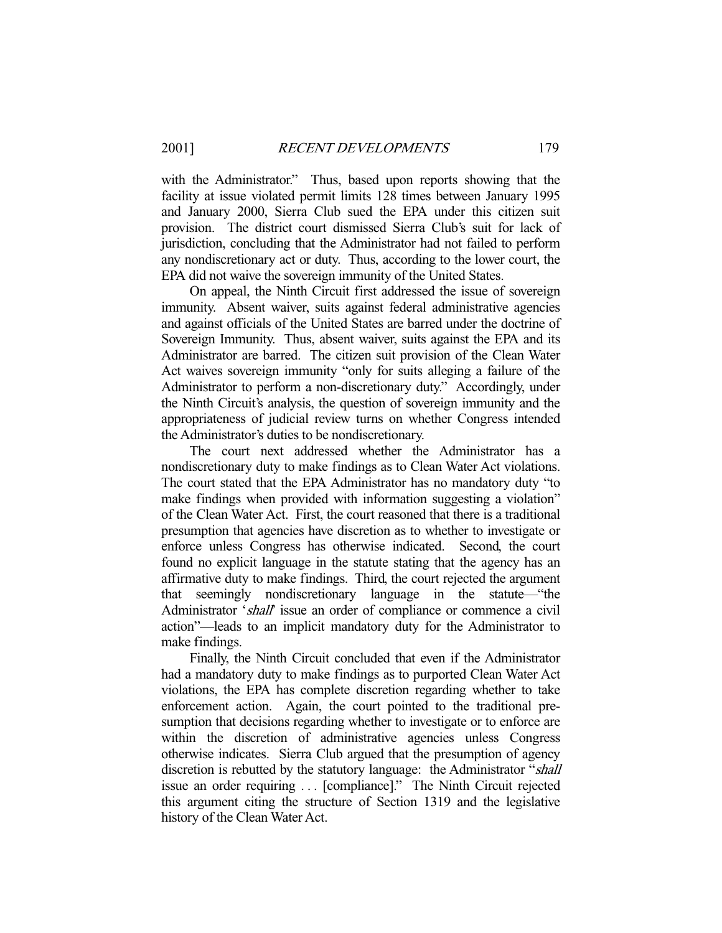with the Administrator." Thus, based upon reports showing that the facility at issue violated permit limits 128 times between January 1995 and January 2000, Sierra Club sued the EPA under this citizen suit provision. The district court dismissed Sierra Club's suit for lack of jurisdiction, concluding that the Administrator had not failed to perform any nondiscretionary act or duty. Thus, according to the lower court, the EPA did not waive the sovereign immunity of the United States.

 On appeal, the Ninth Circuit first addressed the issue of sovereign immunity. Absent waiver, suits against federal administrative agencies and against officials of the United States are barred under the doctrine of Sovereign Immunity. Thus, absent waiver, suits against the EPA and its Administrator are barred. The citizen suit provision of the Clean Water Act waives sovereign immunity "only for suits alleging a failure of the Administrator to perform a non-discretionary duty." Accordingly, under the Ninth Circuit's analysis, the question of sovereign immunity and the appropriateness of judicial review turns on whether Congress intended the Administrator's duties to be nondiscretionary.

 The court next addressed whether the Administrator has a nondiscretionary duty to make findings as to Clean Water Act violations. The court stated that the EPA Administrator has no mandatory duty "to make findings when provided with information suggesting a violation" of the Clean Water Act. First, the court reasoned that there is a traditional presumption that agencies have discretion as to whether to investigate or enforce unless Congress has otherwise indicated. Second, the court found no explicit language in the statute stating that the agency has an affirmative duty to make findings. Third, the court rejected the argument that seemingly nondiscretionary language in the statute—"the Administrator 'shall' issue an order of compliance or commence a civil action"—leads to an implicit mandatory duty for the Administrator to make findings.

 Finally, the Ninth Circuit concluded that even if the Administrator had a mandatory duty to make findings as to purported Clean Water Act violations, the EPA has complete discretion regarding whether to take enforcement action. Again, the court pointed to the traditional presumption that decisions regarding whether to investigate or to enforce are within the discretion of administrative agencies unless Congress otherwise indicates. Sierra Club argued that the presumption of agency discretion is rebutted by the statutory language: the Administrator "shall issue an order requiring . . . [compliance]." The Ninth Circuit rejected this argument citing the structure of Section 1319 and the legislative history of the Clean Water Act.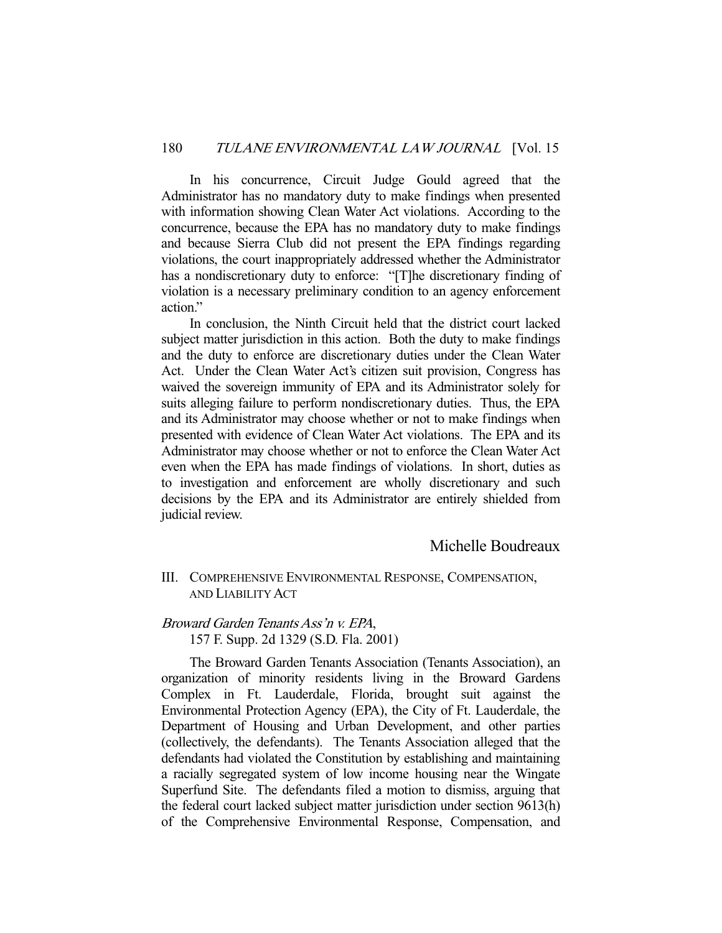In his concurrence, Circuit Judge Gould agreed that the Administrator has no mandatory duty to make findings when presented with information showing Clean Water Act violations. According to the concurrence, because the EPA has no mandatory duty to make findings and because Sierra Club did not present the EPA findings regarding violations, the court inappropriately addressed whether the Administrator has a nondiscretionary duty to enforce: "[T]he discretionary finding of violation is a necessary preliminary condition to an agency enforcement action."

 In conclusion, the Ninth Circuit held that the district court lacked subject matter jurisdiction in this action. Both the duty to make findings and the duty to enforce are discretionary duties under the Clean Water Act. Under the Clean Water Act's citizen suit provision, Congress has waived the sovereign immunity of EPA and its Administrator solely for suits alleging failure to perform nondiscretionary duties. Thus, the EPA and its Administrator may choose whether or not to make findings when presented with evidence of Clean Water Act violations. The EPA and its Administrator may choose whether or not to enforce the Clean Water Act even when the EPA has made findings of violations. In short, duties as to investigation and enforcement are wholly discretionary and such decisions by the EPA and its Administrator are entirely shielded from judicial review.

## Michelle Boudreaux

## III. COMPREHENSIVE ENVIRONMENTAL RESPONSE, COMPENSATION, AND LIABILITY ACT

## Broward Garden Tenants Ass'n v. EPA,

157 F. Supp. 2d 1329 (S.D. Fla. 2001)

 The Broward Garden Tenants Association (Tenants Association), an organization of minority residents living in the Broward Gardens Complex in Ft. Lauderdale, Florida, brought suit against the Environmental Protection Agency (EPA), the City of Ft. Lauderdale, the Department of Housing and Urban Development, and other parties (collectively, the defendants). The Tenants Association alleged that the defendants had violated the Constitution by establishing and maintaining a racially segregated system of low income housing near the Wingate Superfund Site. The defendants filed a motion to dismiss, arguing that the federal court lacked subject matter jurisdiction under section 9613(h) of the Comprehensive Environmental Response, Compensation, and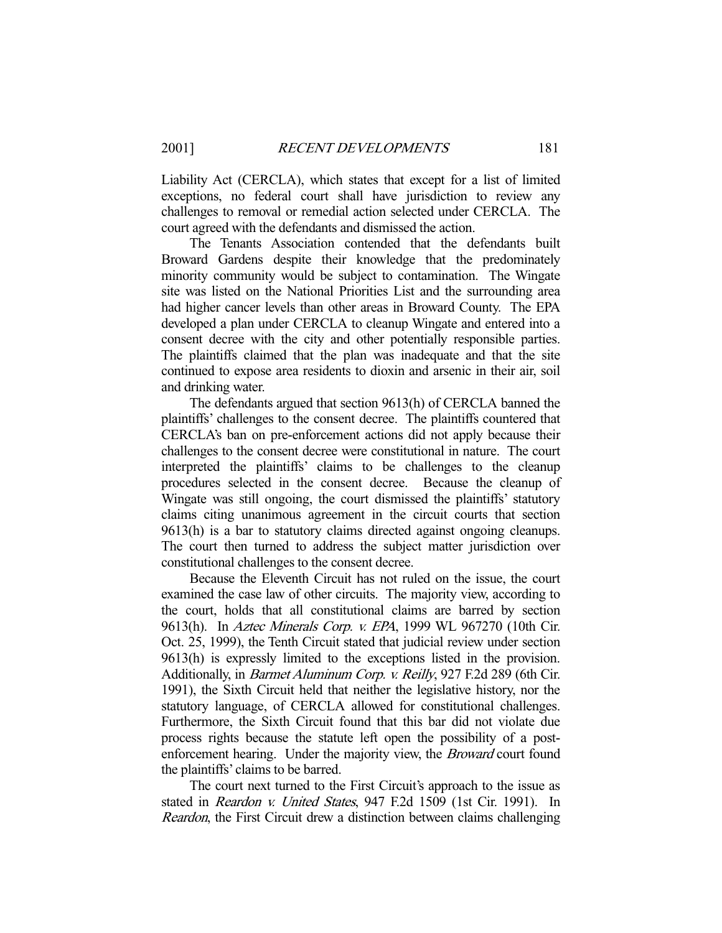Liability Act (CERCLA), which states that except for a list of limited exceptions, no federal court shall have jurisdiction to review any challenges to removal or remedial action selected under CERCLA. The court agreed with the defendants and dismissed the action.

 The Tenants Association contended that the defendants built Broward Gardens despite their knowledge that the predominately minority community would be subject to contamination. The Wingate site was listed on the National Priorities List and the surrounding area had higher cancer levels than other areas in Broward County. The EPA developed a plan under CERCLA to cleanup Wingate and entered into a consent decree with the city and other potentially responsible parties. The plaintiffs claimed that the plan was inadequate and that the site continued to expose area residents to dioxin and arsenic in their air, soil and drinking water.

 The defendants argued that section 9613(h) of CERCLA banned the plaintiffs' challenges to the consent decree. The plaintiffs countered that CERCLA's ban on pre-enforcement actions did not apply because their challenges to the consent decree were constitutional in nature. The court interpreted the plaintiffs' claims to be challenges to the cleanup procedures selected in the consent decree. Because the cleanup of Wingate was still ongoing, the court dismissed the plaintiffs' statutory claims citing unanimous agreement in the circuit courts that section 9613(h) is a bar to statutory claims directed against ongoing cleanups. The court then turned to address the subject matter jurisdiction over constitutional challenges to the consent decree.

 Because the Eleventh Circuit has not ruled on the issue, the court examined the case law of other circuits. The majority view, according to the court, holds that all constitutional claims are barred by section 9613(h). In Aztec Minerals Corp. v. EPA, 1999 WL 967270 (10th Cir. Oct. 25, 1999), the Tenth Circuit stated that judicial review under section 9613(h) is expressly limited to the exceptions listed in the provision. Additionally, in Barmet Aluminum Corp. v. Reilly, 927 F.2d 289 (6th Cir. 1991), the Sixth Circuit held that neither the legislative history, nor the statutory language, of CERCLA allowed for constitutional challenges. Furthermore, the Sixth Circuit found that this bar did not violate due process rights because the statute left open the possibility of a postenforcement hearing. Under the majority view, the *Broward* court found the plaintiffs' claims to be barred.

 The court next turned to the First Circuit's approach to the issue as stated in *Reardon v. United States*, 947 F.2d 1509 (1st Cir. 1991). In Reardon, the First Circuit drew a distinction between claims challenging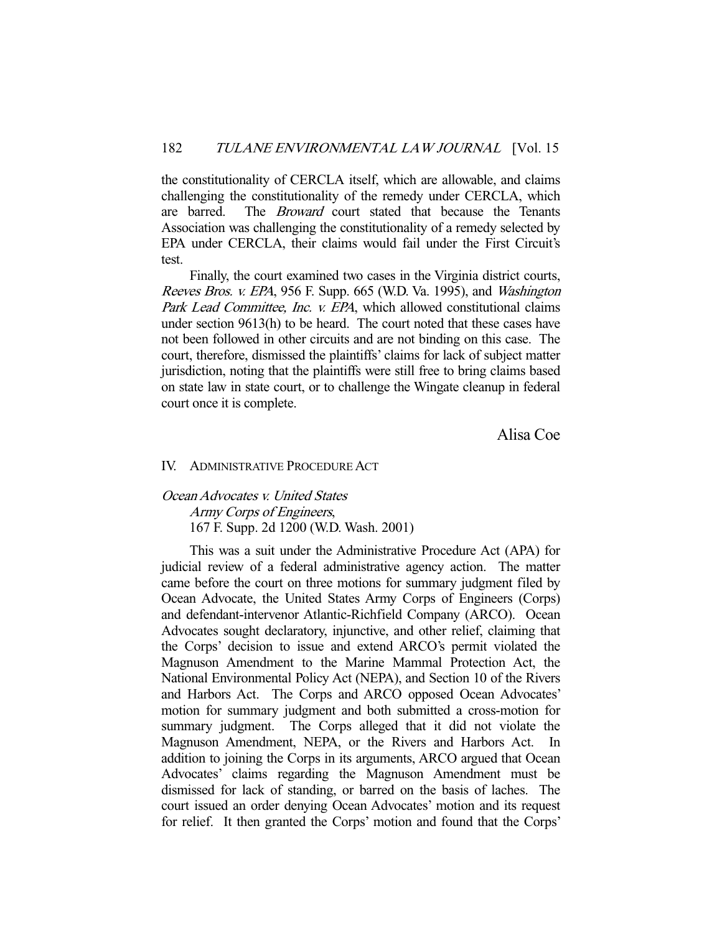the constitutionality of CERCLA itself, which are allowable, and claims challenging the constitutionality of the remedy under CERCLA, which are barred. The *Broward* court stated that because the Tenants Association was challenging the constitutionality of a remedy selected by EPA under CERCLA, their claims would fail under the First Circuit's test.

 Finally, the court examined two cases in the Virginia district courts, Reeves Bros. v. EPA, 956 F. Supp. 665 (W.D. Va. 1995), and Washington Park Lead Committee, Inc. v. EPA, which allowed constitutional claims under section 9613(h) to be heard. The court noted that these cases have not been followed in other circuits and are not binding on this case. The court, therefore, dismissed the plaintiffs' claims for lack of subject matter jurisdiction, noting that the plaintiffs were still free to bring claims based on state law in state court, or to challenge the Wingate cleanup in federal court once it is complete.

Alisa Coe

#### IV. ADMINISTRATIVE PROCEDURE ACT

## Ocean Advocates v. United States Army Corps of Engineers, 167 F. Supp. 2d 1200 (W.D. Wash. 2001)

 This was a suit under the Administrative Procedure Act (APA) for judicial review of a federal administrative agency action. The matter came before the court on three motions for summary judgment filed by Ocean Advocate, the United States Army Corps of Engineers (Corps) and defendant-intervenor Atlantic-Richfield Company (ARCO). Ocean Advocates sought declaratory, injunctive, and other relief, claiming that the Corps' decision to issue and extend ARCO's permit violated the Magnuson Amendment to the Marine Mammal Protection Act, the National Environmental Policy Act (NEPA), and Section 10 of the Rivers and Harbors Act. The Corps and ARCO opposed Ocean Advocates' motion for summary judgment and both submitted a cross-motion for summary judgment. The Corps alleged that it did not violate the Magnuson Amendment, NEPA, or the Rivers and Harbors Act. In addition to joining the Corps in its arguments, ARCO argued that Ocean Advocates' claims regarding the Magnuson Amendment must be dismissed for lack of standing, or barred on the basis of laches. The court issued an order denying Ocean Advocates' motion and its request for relief. It then granted the Corps' motion and found that the Corps'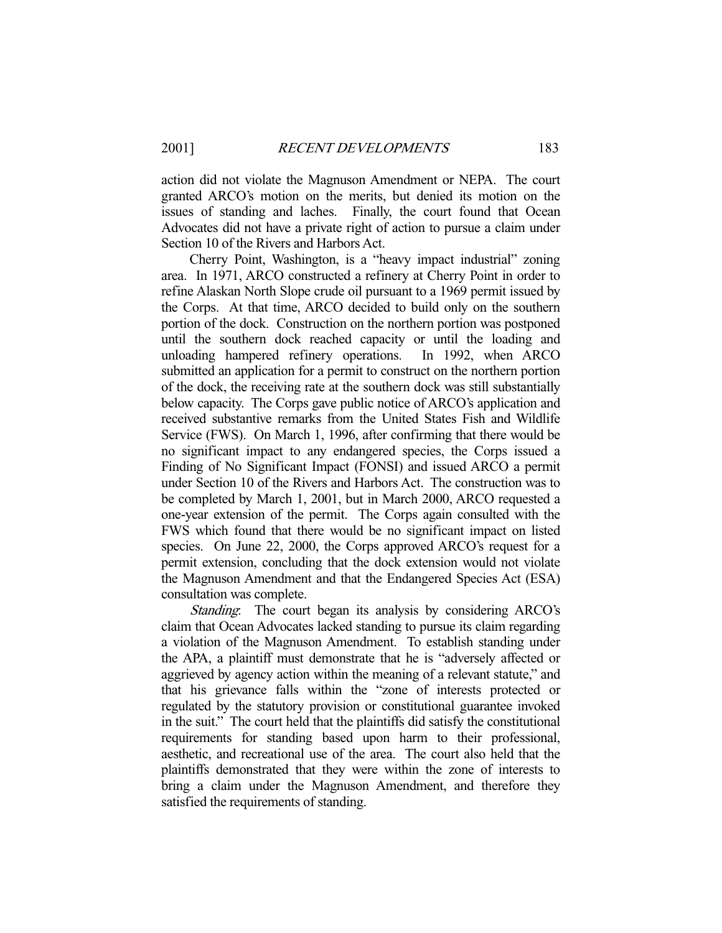action did not violate the Magnuson Amendment or NEPA. The court granted ARCO's motion on the merits, but denied its motion on the issues of standing and laches. Finally, the court found that Ocean Advocates did not have a private right of action to pursue a claim under Section 10 of the Rivers and Harbors Act.

 Cherry Point, Washington, is a "heavy impact industrial" zoning area. In 1971, ARCO constructed a refinery at Cherry Point in order to refine Alaskan North Slope crude oil pursuant to a 1969 permit issued by the Corps. At that time, ARCO decided to build only on the southern portion of the dock. Construction on the northern portion was postponed until the southern dock reached capacity or until the loading and unloading hampered refinery operations. In 1992, when ARCO submitted an application for a permit to construct on the northern portion of the dock, the receiving rate at the southern dock was still substantially below capacity. The Corps gave public notice of ARCO's application and received substantive remarks from the United States Fish and Wildlife Service (FWS). On March 1, 1996, after confirming that there would be no significant impact to any endangered species, the Corps issued a Finding of No Significant Impact (FONSI) and issued ARCO a permit under Section 10 of the Rivers and Harbors Act. The construction was to be completed by March 1, 2001, but in March 2000, ARCO requested a one-year extension of the permit. The Corps again consulted with the FWS which found that there would be no significant impact on listed species. On June 22, 2000, the Corps approved ARCO's request for a permit extension, concluding that the dock extension would not violate the Magnuson Amendment and that the Endangered Species Act (ESA) consultation was complete.

Standing: The court began its analysis by considering ARCO's claim that Ocean Advocates lacked standing to pursue its claim regarding a violation of the Magnuson Amendment. To establish standing under the APA, a plaintiff must demonstrate that he is "adversely affected or aggrieved by agency action within the meaning of a relevant statute," and that his grievance falls within the "zone of interests protected or regulated by the statutory provision or constitutional guarantee invoked in the suit." The court held that the plaintiffs did satisfy the constitutional requirements for standing based upon harm to their professional, aesthetic, and recreational use of the area. The court also held that the plaintiffs demonstrated that they were within the zone of interests to bring a claim under the Magnuson Amendment, and therefore they satisfied the requirements of standing.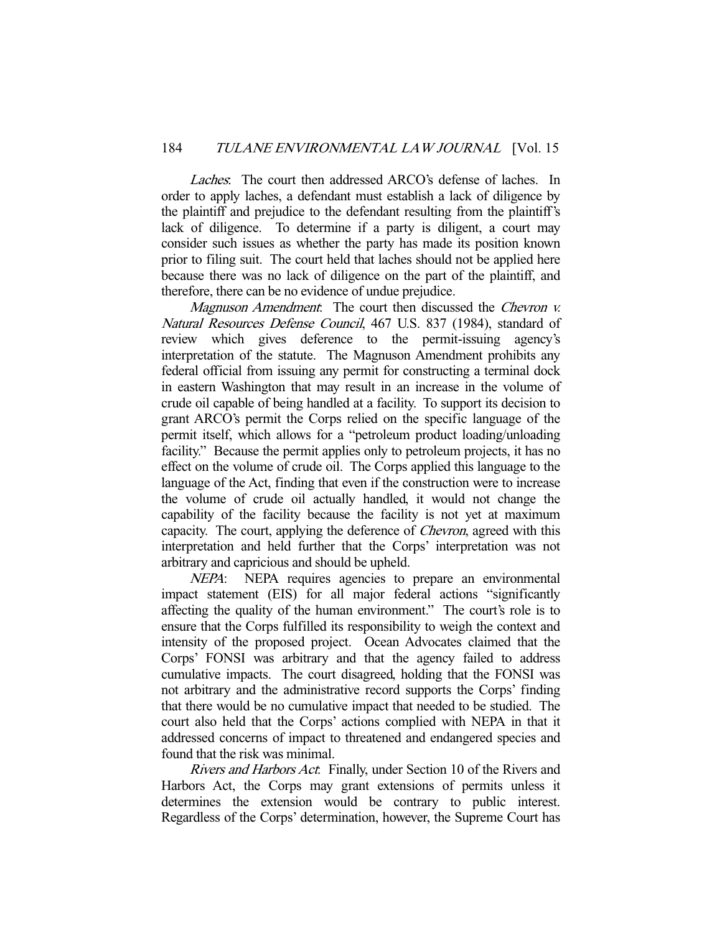Laches. The court then addressed ARCO's defense of laches. In order to apply laches, a defendant must establish a lack of diligence by the plaintiff and prejudice to the defendant resulting from the plaintiff's lack of diligence. To determine if a party is diligent, a court may consider such issues as whether the party has made its position known prior to filing suit. The court held that laches should not be applied here because there was no lack of diligence on the part of the plaintiff, and therefore, there can be no evidence of undue prejudice.

Magnuson Amendment. The court then discussed the Chevron v. Natural Resources Defense Council, 467 U.S. 837 (1984), standard of review which gives deference to the permit-issuing agency's interpretation of the statute. The Magnuson Amendment prohibits any federal official from issuing any permit for constructing a terminal dock in eastern Washington that may result in an increase in the volume of crude oil capable of being handled at a facility. To support its decision to grant ARCO's permit the Corps relied on the specific language of the permit itself, which allows for a "petroleum product loading/unloading facility." Because the permit applies only to petroleum projects, it has no effect on the volume of crude oil. The Corps applied this language to the language of the Act, finding that even if the construction were to increase the volume of crude oil actually handled, it would not change the capability of the facility because the facility is not yet at maximum capacity. The court, applying the deference of Chevron, agreed with this interpretation and held further that the Corps' interpretation was not arbitrary and capricious and should be upheld.

NEPA: NEPA requires agencies to prepare an environmental impact statement (EIS) for all major federal actions "significantly affecting the quality of the human environment." The court's role is to ensure that the Corps fulfilled its responsibility to weigh the context and intensity of the proposed project. Ocean Advocates claimed that the Corps' FONSI was arbitrary and that the agency failed to address cumulative impacts. The court disagreed, holding that the FONSI was not arbitrary and the administrative record supports the Corps' finding that there would be no cumulative impact that needed to be studied. The court also held that the Corps' actions complied with NEPA in that it addressed concerns of impact to threatened and endangered species and found that the risk was minimal.

Rivers and Harbors Act. Finally, under Section 10 of the Rivers and Harbors Act, the Corps may grant extensions of permits unless it determines the extension would be contrary to public interest. Regardless of the Corps' determination, however, the Supreme Court has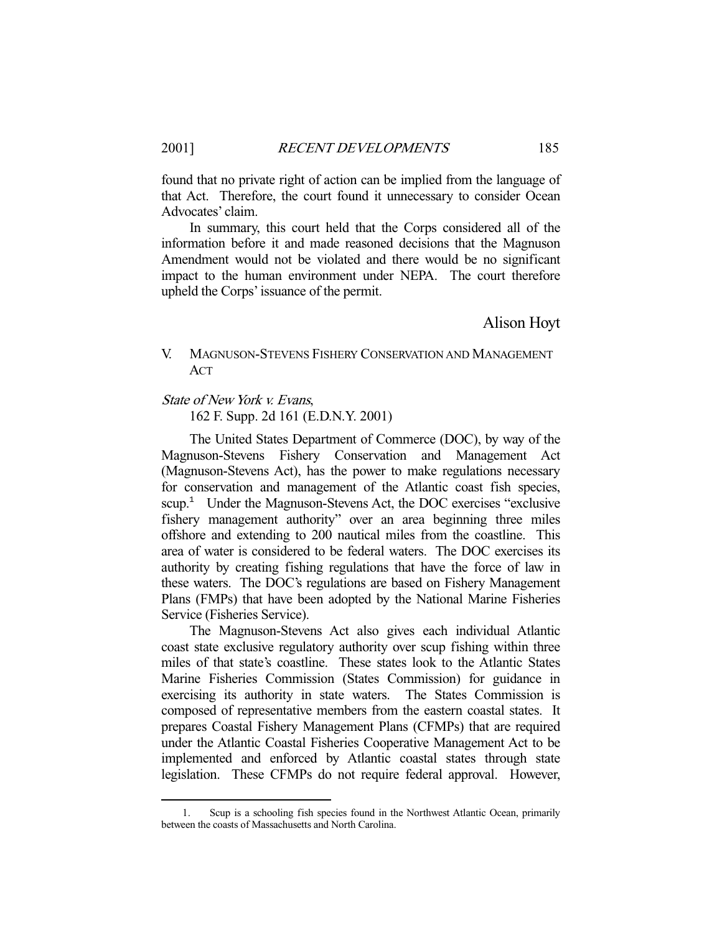found that no private right of action can be implied from the language of that Act. Therefore, the court found it unnecessary to consider Ocean Advocates' claim.

 In summary, this court held that the Corps considered all of the information before it and made reasoned decisions that the Magnuson Amendment would not be violated and there would be no significant impact to the human environment under NEPA. The court therefore upheld the Corps' issuance of the permit.

## Alison Hoyt

## V. MAGNUSON-STEVENS FISHERY CONSERVATION AND MANAGEMENT ACT

#### State of New York v. Evans,

162 F. Supp. 2d 161 (E.D.N.Y. 2001)

 The United States Department of Commerce (DOC), by way of the Magnuson-Stevens Fishery Conservation and Management Act (Magnuson-Stevens Act), has the power to make regulations necessary for conservation and management of the Atlantic coast fish species, scup.<sup>1</sup> Under the Magnuson-Stevens Act, the DOC exercises "exclusive fishery management authority" over an area beginning three miles offshore and extending to 200 nautical miles from the coastline. This area of water is considered to be federal waters. The DOC exercises its authority by creating fishing regulations that have the force of law in these waters. The DOC's regulations are based on Fishery Management Plans (FMPs) that have been adopted by the National Marine Fisheries Service (Fisheries Service).

 The Magnuson-Stevens Act also gives each individual Atlantic coast state exclusive regulatory authority over scup fishing within three miles of that state's coastline. These states look to the Atlantic States Marine Fisheries Commission (States Commission) for guidance in exercising its authority in state waters. The States Commission is composed of representative members from the eastern coastal states. It prepares Coastal Fishery Management Plans (CFMPs) that are required under the Atlantic Coastal Fisheries Cooperative Management Act to be implemented and enforced by Atlantic coastal states through state legislation. These CFMPs do not require federal approval. However,

-

 <sup>1.</sup> Scup is a schooling fish species found in the Northwest Atlantic Ocean, primarily between the coasts of Massachusetts and North Carolina.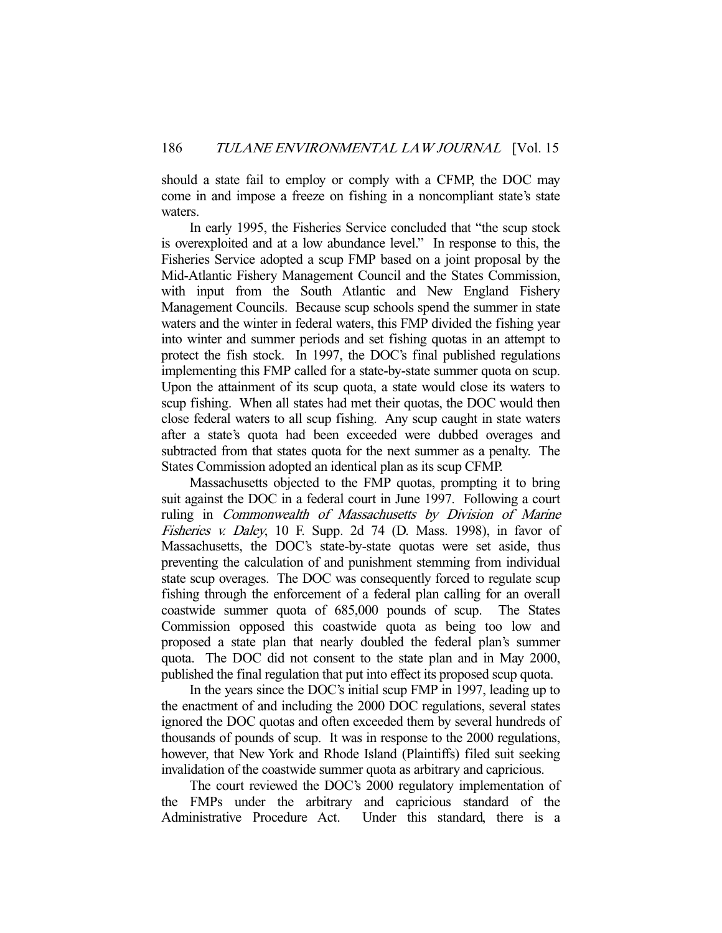should a state fail to employ or comply with a CFMP, the DOC may come in and impose a freeze on fishing in a noncompliant state's state waters.

 In early 1995, the Fisheries Service concluded that "the scup stock is overexploited and at a low abundance level." In response to this, the Fisheries Service adopted a scup FMP based on a joint proposal by the Mid-Atlantic Fishery Management Council and the States Commission, with input from the South Atlantic and New England Fishery Management Councils. Because scup schools spend the summer in state waters and the winter in federal waters, this FMP divided the fishing year into winter and summer periods and set fishing quotas in an attempt to protect the fish stock. In 1997, the DOC's final published regulations implementing this FMP called for a state-by-state summer quota on scup. Upon the attainment of its scup quota, a state would close its waters to scup fishing. When all states had met their quotas, the DOC would then close federal waters to all scup fishing. Any scup caught in state waters after a state's quota had been exceeded were dubbed overages and subtracted from that states quota for the next summer as a penalty. The States Commission adopted an identical plan as its scup CFMP.

 Massachusetts objected to the FMP quotas, prompting it to bring suit against the DOC in a federal court in June 1997. Following a court ruling in Commonwealth of Massachusetts by Division of Marine Fisheries v. Daley, 10 F. Supp. 2d 74 (D. Mass. 1998), in favor of Massachusetts, the DOC's state-by-state quotas were set aside, thus preventing the calculation of and punishment stemming from individual state scup overages. The DOC was consequently forced to regulate scup fishing through the enforcement of a federal plan calling for an overall coastwide summer quota of 685,000 pounds of scup. The States Commission opposed this coastwide quota as being too low and proposed a state plan that nearly doubled the federal plan's summer quota. The DOC did not consent to the state plan and in May 2000, published the final regulation that put into effect its proposed scup quota.

 In the years since the DOC's initial scup FMP in 1997, leading up to the enactment of and including the 2000 DOC regulations, several states ignored the DOC quotas and often exceeded them by several hundreds of thousands of pounds of scup. It was in response to the 2000 regulations, however, that New York and Rhode Island (Plaintiffs) filed suit seeking invalidation of the coastwide summer quota as arbitrary and capricious.

 The court reviewed the DOC's 2000 regulatory implementation of the FMPs under the arbitrary and capricious standard of the Administrative Procedure Act. Under this standard, there is a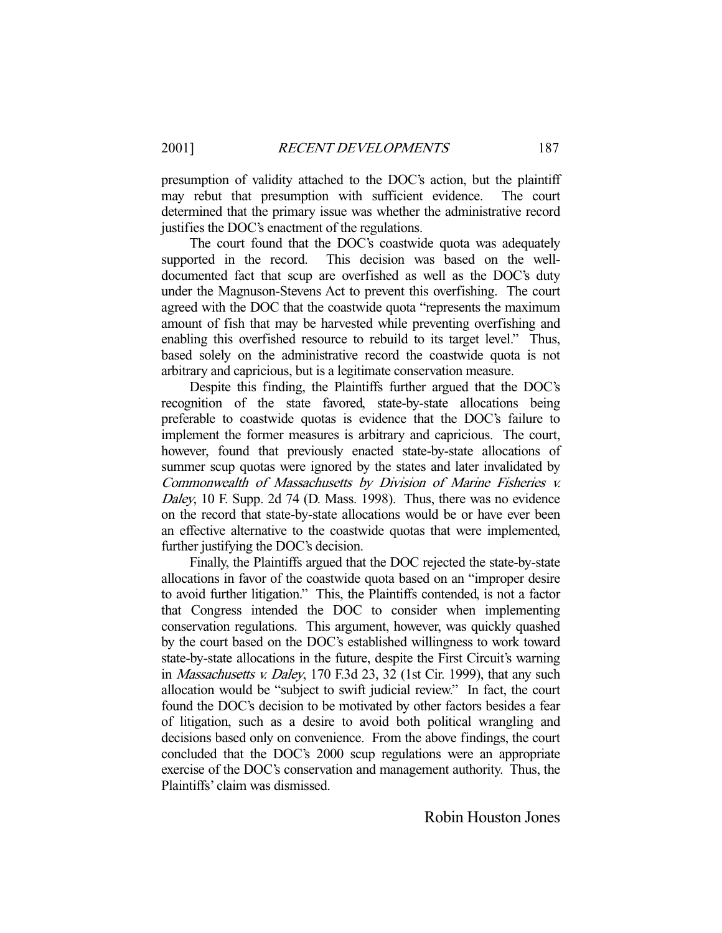presumption of validity attached to the DOC's action, but the plaintiff may rebut that presumption with sufficient evidence. The court determined that the primary issue was whether the administrative record justifies the DOC's enactment of the regulations.

 The court found that the DOC's coastwide quota was adequately supported in the record. This decision was based on the welldocumented fact that scup are overfished as well as the DOC's duty under the Magnuson-Stevens Act to prevent this overfishing. The court agreed with the DOC that the coastwide quota "represents the maximum amount of fish that may be harvested while preventing overfishing and enabling this overfished resource to rebuild to its target level." Thus, based solely on the administrative record the coastwide quota is not arbitrary and capricious, but is a legitimate conservation measure.

 Despite this finding, the Plaintiffs further argued that the DOC's recognition of the state favored, state-by-state allocations being preferable to coastwide quotas is evidence that the DOC's failure to implement the former measures is arbitrary and capricious. The court, however, found that previously enacted state-by-state allocations of summer scup quotas were ignored by the states and later invalidated by Commonwealth of Massachusetts by Division of Marine Fisheries v. Daley, 10 F. Supp. 2d 74 (D. Mass. 1998). Thus, there was no evidence on the record that state-by-state allocations would be or have ever been an effective alternative to the coastwide quotas that were implemented, further justifying the DOC's decision.

 Finally, the Plaintiffs argued that the DOC rejected the state-by-state allocations in favor of the coastwide quota based on an "improper desire to avoid further litigation." This, the Plaintiffs contended, is not a factor that Congress intended the DOC to consider when implementing conservation regulations. This argument, however, was quickly quashed by the court based on the DOC's established willingness to work toward state-by-state allocations in the future, despite the First Circuit's warning in *Massachusetts v. Daley*, 170 F.3d 23, 32 (1st Cir. 1999), that any such allocation would be "subject to swift judicial review." In fact, the court found the DOC's decision to be motivated by other factors besides a fear of litigation, such as a desire to avoid both political wrangling and decisions based only on convenience. From the above findings, the court concluded that the DOC's 2000 scup regulations were an appropriate exercise of the DOC's conservation and management authority. Thus, the Plaintiffs' claim was dismissed.

Robin Houston Jones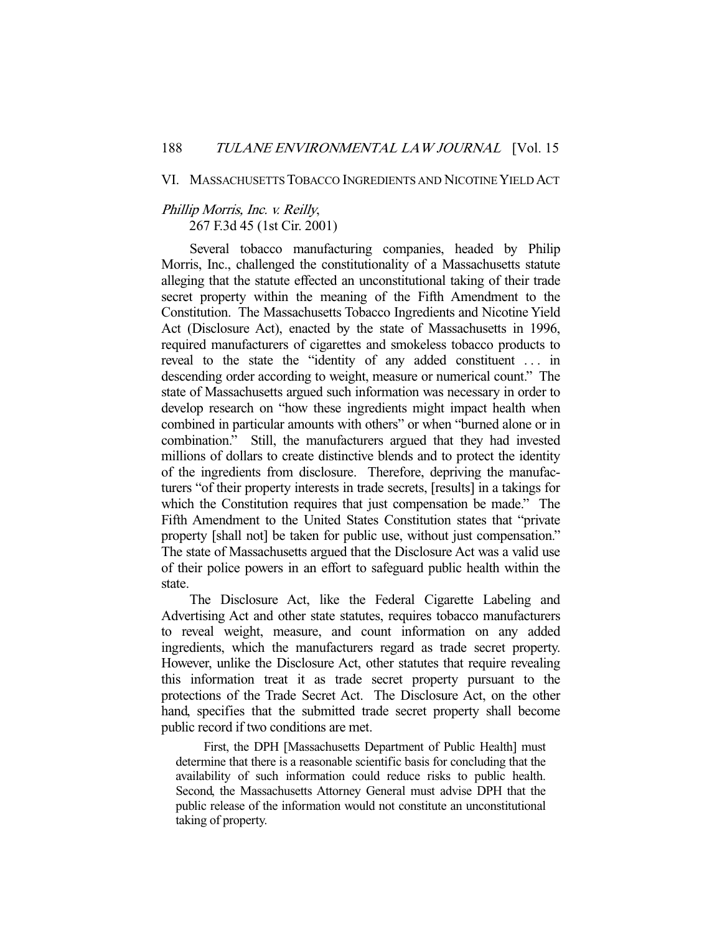#### VI. MASSACHUSETTS TOBACCO INGREDIENTS AND NICOTINE YIELD ACT

## Phillip Morris, Inc. v. Reilly, 267 F.3d 45 (1st Cir. 2001)

 Several tobacco manufacturing companies, headed by Philip Morris, Inc., challenged the constitutionality of a Massachusetts statute alleging that the statute effected an unconstitutional taking of their trade secret property within the meaning of the Fifth Amendment to the Constitution. The Massachusetts Tobacco Ingredients and Nicotine Yield Act (Disclosure Act), enacted by the state of Massachusetts in 1996, required manufacturers of cigarettes and smokeless tobacco products to reveal to the state the "identity of any added constituent . . . in descending order according to weight, measure or numerical count." The state of Massachusetts argued such information was necessary in order to develop research on "how these ingredients might impact health when combined in particular amounts with others" or when "burned alone or in combination." Still, the manufacturers argued that they had invested millions of dollars to create distinctive blends and to protect the identity of the ingredients from disclosure. Therefore, depriving the manufacturers "of their property interests in trade secrets, [results] in a takings for which the Constitution requires that just compensation be made." The Fifth Amendment to the United States Constitution states that "private property [shall not] be taken for public use, without just compensation." The state of Massachusetts argued that the Disclosure Act was a valid use of their police powers in an effort to safeguard public health within the state.

 The Disclosure Act, like the Federal Cigarette Labeling and Advertising Act and other state statutes, requires tobacco manufacturers to reveal weight, measure, and count information on any added ingredients, which the manufacturers regard as trade secret property. However, unlike the Disclosure Act, other statutes that require revealing this information treat it as trade secret property pursuant to the protections of the Trade Secret Act. The Disclosure Act, on the other hand, specifies that the submitted trade secret property shall become public record if two conditions are met.

 First, the DPH [Massachusetts Department of Public Health] must determine that there is a reasonable scientific basis for concluding that the availability of such information could reduce risks to public health. Second, the Massachusetts Attorney General must advise DPH that the public release of the information would not constitute an unconstitutional taking of property.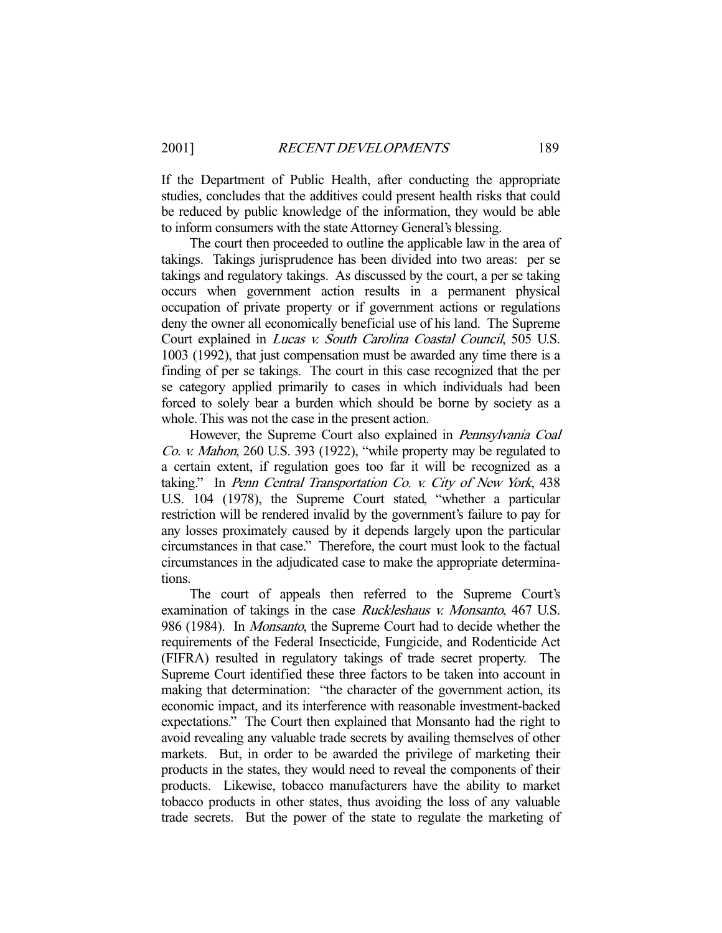If the Department of Public Health, after conducting the appropriate studies, concludes that the additives could present health risks that could be reduced by public knowledge of the information, they would be able to inform consumers with the state Attorney General's blessing.

 The court then proceeded to outline the applicable law in the area of takings. Takings jurisprudence has been divided into two areas: per se takings and regulatory takings. As discussed by the court, a per se taking occurs when government action results in a permanent physical occupation of private property or if government actions or regulations deny the owner all economically beneficial use of his land. The Supreme Court explained in Lucas v. South Carolina Coastal Council, 505 U.S. 1003 (1992), that just compensation must be awarded any time there is a finding of per se takings. The court in this case recognized that the per se category applied primarily to cases in which individuals had been forced to solely bear a burden which should be borne by society as a whole. This was not the case in the present action.

However, the Supreme Court also explained in *Pennsylvania Coal* Co. v. Mahon, 260 U.S. 393 (1922), "while property may be regulated to a certain extent, if regulation goes too far it will be recognized as a taking." In Penn Central Transportation Co. v. City of New York, 438 U.S. 104 (1978), the Supreme Court stated, "whether a particular restriction will be rendered invalid by the government's failure to pay for any losses proximately caused by it depends largely upon the particular circumstances in that case." Therefore, the court must look to the factual circumstances in the adjudicated case to make the appropriate determinations.

 The court of appeals then referred to the Supreme Court's examination of takings in the case *Ruckleshaus v. Monsanto*, 467 U.S. 986 (1984). In *Monsanto*, the Supreme Court had to decide whether the requirements of the Federal Insecticide, Fungicide, and Rodenticide Act (FIFRA) resulted in regulatory takings of trade secret property. The Supreme Court identified these three factors to be taken into account in making that determination: "the character of the government action, its economic impact, and its interference with reasonable investment-backed expectations." The Court then explained that Monsanto had the right to avoid revealing any valuable trade secrets by availing themselves of other markets. But, in order to be awarded the privilege of marketing their products in the states, they would need to reveal the components of their products. Likewise, tobacco manufacturers have the ability to market tobacco products in other states, thus avoiding the loss of any valuable trade secrets. But the power of the state to regulate the marketing of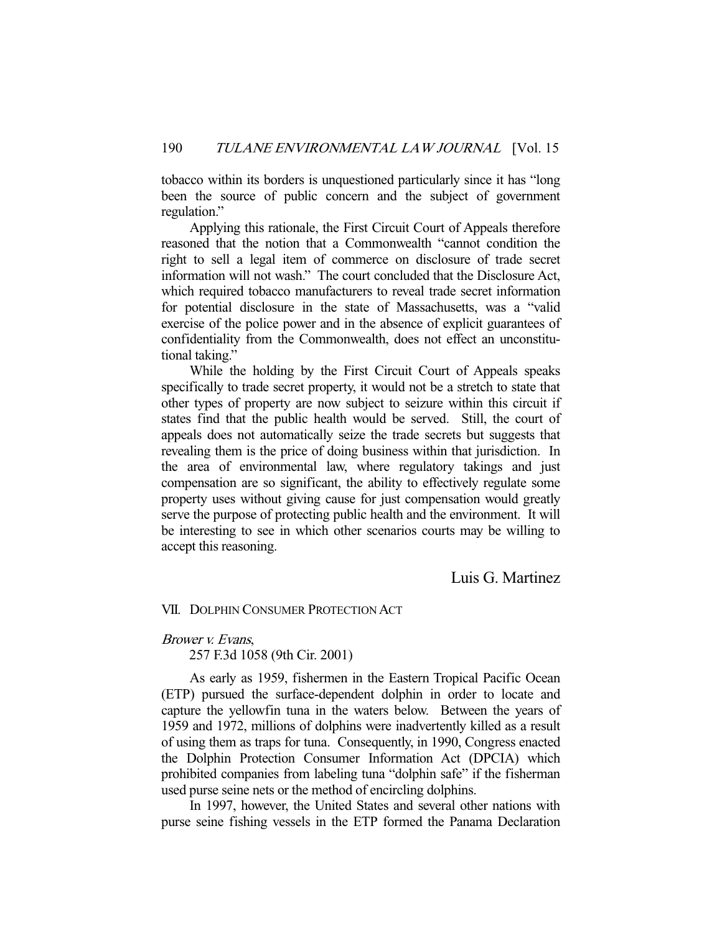tobacco within its borders is unquestioned particularly since it has "long been the source of public concern and the subject of government regulation."

 Applying this rationale, the First Circuit Court of Appeals therefore reasoned that the notion that a Commonwealth "cannot condition the right to sell a legal item of commerce on disclosure of trade secret information will not wash." The court concluded that the Disclosure Act, which required tobacco manufacturers to reveal trade secret information for potential disclosure in the state of Massachusetts, was a "valid exercise of the police power and in the absence of explicit guarantees of confidentiality from the Commonwealth, does not effect an unconstitutional taking."

 While the holding by the First Circuit Court of Appeals speaks specifically to trade secret property, it would not be a stretch to state that other types of property are now subject to seizure within this circuit if states find that the public health would be served. Still, the court of appeals does not automatically seize the trade secrets but suggests that revealing them is the price of doing business within that jurisdiction. In the area of environmental law, where regulatory takings and just compensation are so significant, the ability to effectively regulate some property uses without giving cause for just compensation would greatly serve the purpose of protecting public health and the environment. It will be interesting to see in which other scenarios courts may be willing to accept this reasoning.

Luis G. Martinez

VII. DOLPHIN CONSUMER PROTECTION ACT

Brower v. Evans,

257 F.3d 1058 (9th Cir. 2001)

 As early as 1959, fishermen in the Eastern Tropical Pacific Ocean (ETP) pursued the surface-dependent dolphin in order to locate and capture the yellowfin tuna in the waters below. Between the years of 1959 and 1972, millions of dolphins were inadvertently killed as a result of using them as traps for tuna. Consequently, in 1990, Congress enacted the Dolphin Protection Consumer Information Act (DPCIA) which prohibited companies from labeling tuna "dolphin safe" if the fisherman used purse seine nets or the method of encircling dolphins.

 In 1997, however, the United States and several other nations with purse seine fishing vessels in the ETP formed the Panama Declaration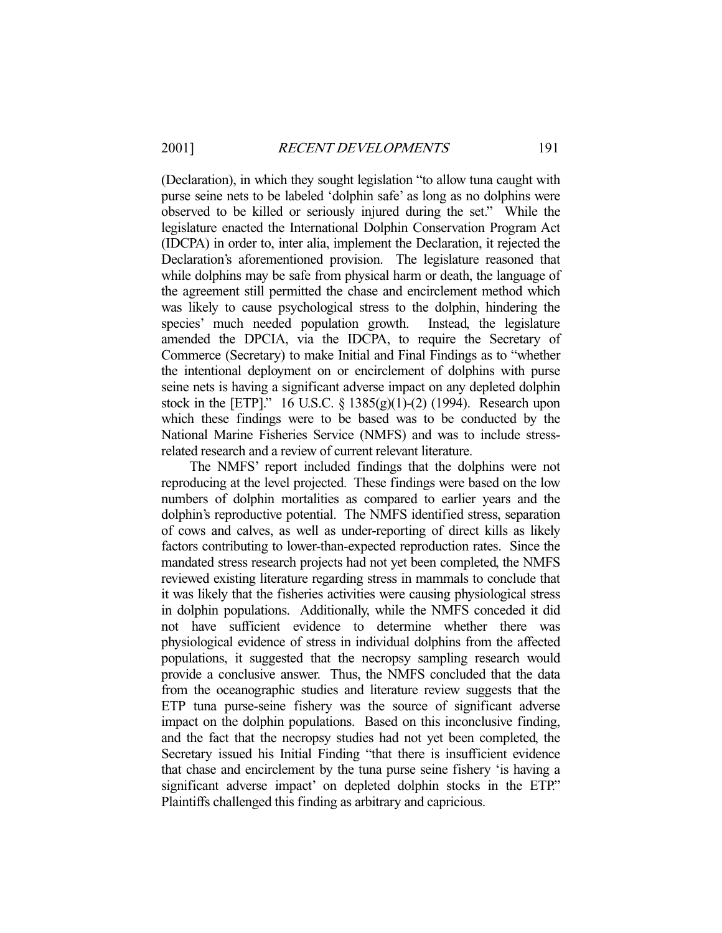(Declaration), in which they sought legislation "to allow tuna caught with purse seine nets to be labeled 'dolphin safe' as long as no dolphins were observed to be killed or seriously injured during the set." While the legislature enacted the International Dolphin Conservation Program Act (IDCPA) in order to, inter alia, implement the Declaration, it rejected the Declaration's aforementioned provision. The legislature reasoned that while dolphins may be safe from physical harm or death, the language of the agreement still permitted the chase and encirclement method which was likely to cause psychological stress to the dolphin, hindering the species' much needed population growth. Instead, the legislature amended the DPCIA, via the IDCPA, to require the Secretary of Commerce (Secretary) to make Initial and Final Findings as to "whether the intentional deployment on or encirclement of dolphins with purse seine nets is having a significant adverse impact on any depleted dolphin stock in the [ETP]." 16 U.S.C.  $\S$  1385(g)(1)-(2) (1994). Research upon which these findings were to be based was to be conducted by the National Marine Fisheries Service (NMFS) and was to include stressrelated research and a review of current relevant literature.

 The NMFS' report included findings that the dolphins were not reproducing at the level projected. These findings were based on the low numbers of dolphin mortalities as compared to earlier years and the dolphin's reproductive potential. The NMFS identified stress, separation of cows and calves, as well as under-reporting of direct kills as likely factors contributing to lower-than-expected reproduction rates. Since the mandated stress research projects had not yet been completed, the NMFS reviewed existing literature regarding stress in mammals to conclude that it was likely that the fisheries activities were causing physiological stress in dolphin populations. Additionally, while the NMFS conceded it did not have sufficient evidence to determine whether there was physiological evidence of stress in individual dolphins from the affected populations, it suggested that the necropsy sampling research would provide a conclusive answer. Thus, the NMFS concluded that the data from the oceanographic studies and literature review suggests that the ETP tuna purse-seine fishery was the source of significant adverse impact on the dolphin populations. Based on this inconclusive finding, and the fact that the necropsy studies had not yet been completed, the Secretary issued his Initial Finding "that there is insufficient evidence that chase and encirclement by the tuna purse seine fishery 'is having a significant adverse impact' on depleted dolphin stocks in the ETP." Plaintiffs challenged this finding as arbitrary and capricious.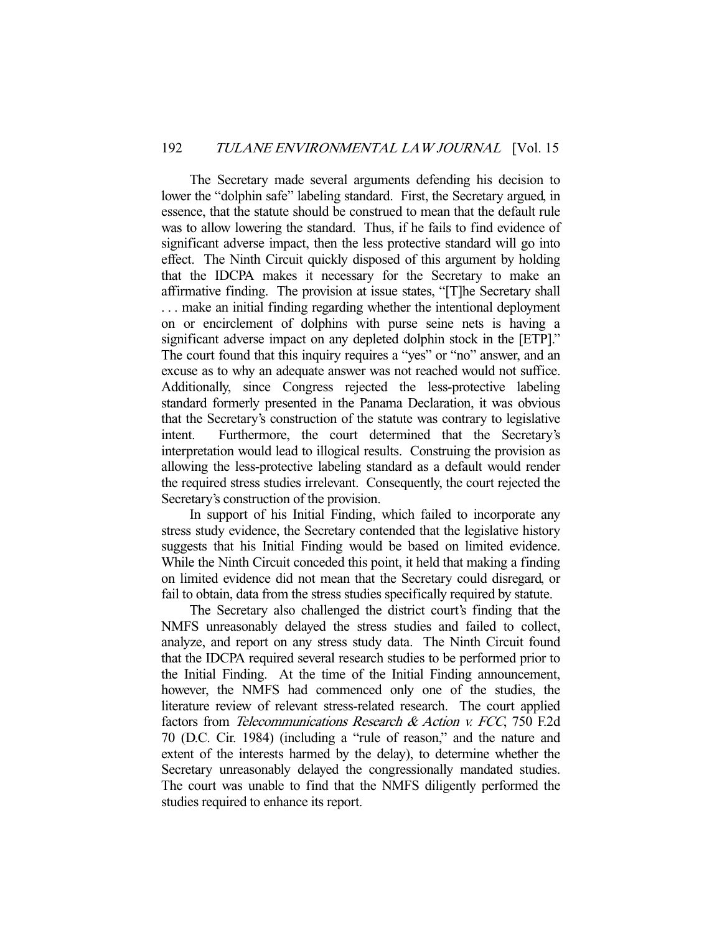The Secretary made several arguments defending his decision to lower the "dolphin safe" labeling standard. First, the Secretary argued, in essence, that the statute should be construed to mean that the default rule was to allow lowering the standard. Thus, if he fails to find evidence of significant adverse impact, then the less protective standard will go into effect. The Ninth Circuit quickly disposed of this argument by holding that the IDCPA makes it necessary for the Secretary to make an affirmative finding. The provision at issue states, "[T]he Secretary shall . . . make an initial finding regarding whether the intentional deployment on or encirclement of dolphins with purse seine nets is having a significant adverse impact on any depleted dolphin stock in the [ETP]." The court found that this inquiry requires a "yes" or "no" answer, and an excuse as to why an adequate answer was not reached would not suffice. Additionally, since Congress rejected the less-protective labeling standard formerly presented in the Panama Declaration, it was obvious that the Secretary's construction of the statute was contrary to legislative intent. Furthermore, the court determined that the Secretary's interpretation would lead to illogical results. Construing the provision as allowing the less-protective labeling standard as a default would render the required stress studies irrelevant. Consequently, the court rejected the Secretary's construction of the provision.

 In support of his Initial Finding, which failed to incorporate any stress study evidence, the Secretary contended that the legislative history suggests that his Initial Finding would be based on limited evidence. While the Ninth Circuit conceded this point, it held that making a finding on limited evidence did not mean that the Secretary could disregard, or fail to obtain, data from the stress studies specifically required by statute.

 The Secretary also challenged the district court's finding that the NMFS unreasonably delayed the stress studies and failed to collect, analyze, and report on any stress study data. The Ninth Circuit found that the IDCPA required several research studies to be performed prior to the Initial Finding. At the time of the Initial Finding announcement, however, the NMFS had commenced only one of the studies, the literature review of relevant stress-related research. The court applied factors from Telecommunications Research & Action v. FCC, 750 F.2d 70 (D.C. Cir. 1984) (including a "rule of reason," and the nature and extent of the interests harmed by the delay), to determine whether the Secretary unreasonably delayed the congressionally mandated studies. The court was unable to find that the NMFS diligently performed the studies required to enhance its report.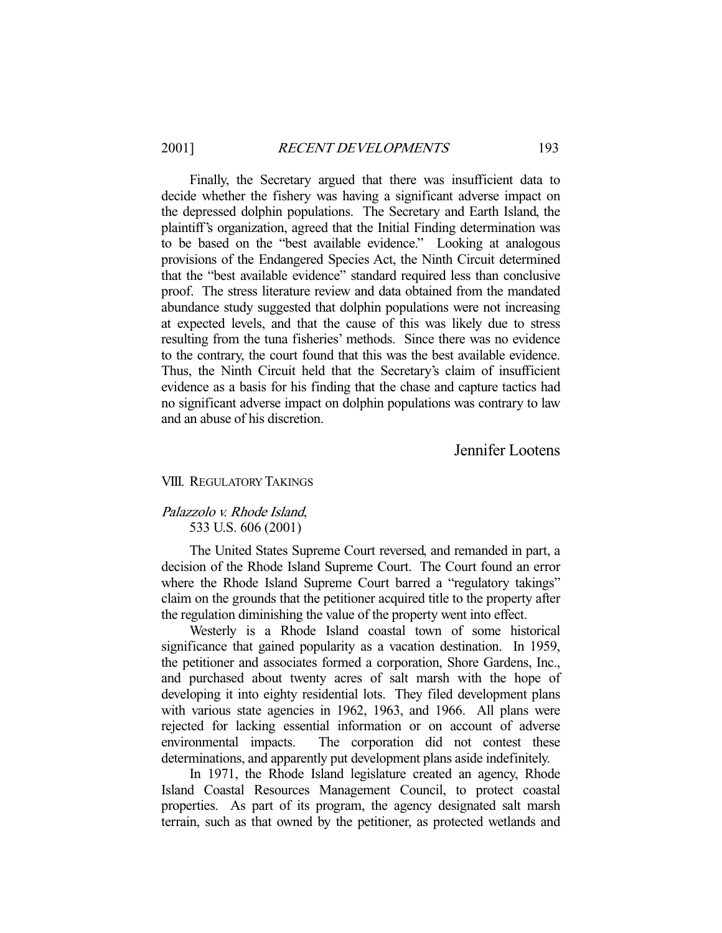Finally, the Secretary argued that there was insufficient data to decide whether the fishery was having a significant adverse impact on the depressed dolphin populations. The Secretary and Earth Island, the plaintiff's organization, agreed that the Initial Finding determination was to be based on the "best available evidence." Looking at analogous provisions of the Endangered Species Act, the Ninth Circuit determined that the "best available evidence" standard required less than conclusive proof. The stress literature review and data obtained from the mandated abundance study suggested that dolphin populations were not increasing at expected levels, and that the cause of this was likely due to stress resulting from the tuna fisheries' methods. Since there was no evidence to the contrary, the court found that this was the best available evidence. Thus, the Ninth Circuit held that the Secretary's claim of insufficient evidence as a basis for his finding that the chase and capture tactics had no significant adverse impact on dolphin populations was contrary to law and an abuse of his discretion.

## Jennifer Lootens

#### VIII. REGULATORY TAKINGS

## Palazzolo v. Rhode Island, 533 U.S. 606 (2001)

 The United States Supreme Court reversed, and remanded in part, a decision of the Rhode Island Supreme Court. The Court found an error where the Rhode Island Supreme Court barred a "regulatory takings" claim on the grounds that the petitioner acquired title to the property after the regulation diminishing the value of the property went into effect.

 Westerly is a Rhode Island coastal town of some historical significance that gained popularity as a vacation destination. In 1959, the petitioner and associates formed a corporation, Shore Gardens, Inc., and purchased about twenty acres of salt marsh with the hope of developing it into eighty residential lots. They filed development plans with various state agencies in 1962, 1963, and 1966. All plans were rejected for lacking essential information or on account of adverse environmental impacts. The corporation did not contest these determinations, and apparently put development plans aside indefinitely.

 In 1971, the Rhode Island legislature created an agency, Rhode Island Coastal Resources Management Council, to protect coastal properties. As part of its program, the agency designated salt marsh terrain, such as that owned by the petitioner, as protected wetlands and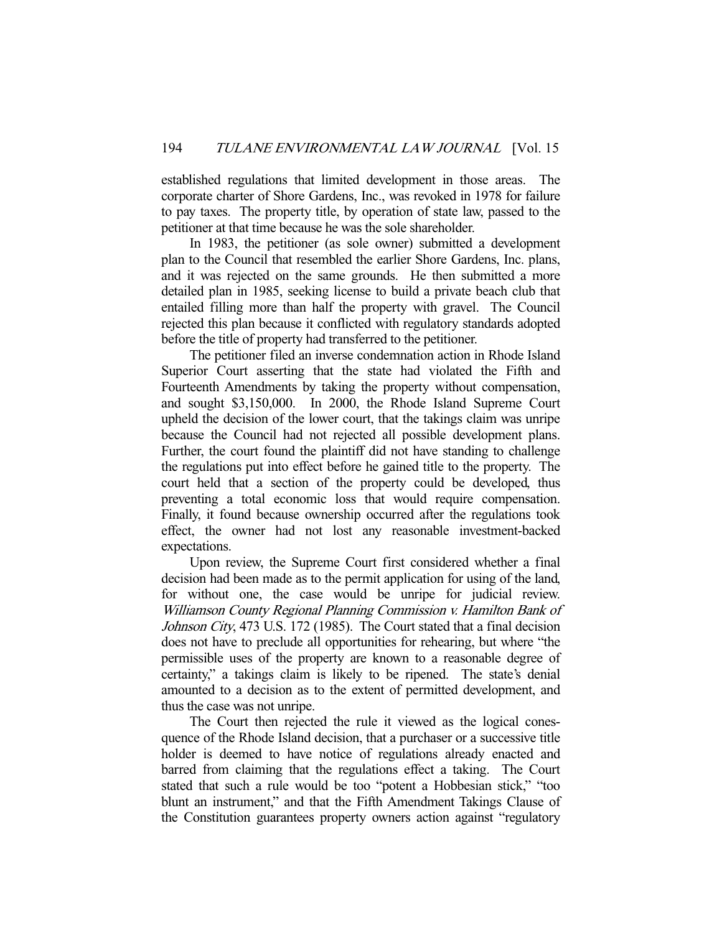established regulations that limited development in those areas. The corporate charter of Shore Gardens, Inc., was revoked in 1978 for failure to pay taxes. The property title, by operation of state law, passed to the petitioner at that time because he was the sole shareholder.

 In 1983, the petitioner (as sole owner) submitted a development plan to the Council that resembled the earlier Shore Gardens, Inc. plans, and it was rejected on the same grounds. He then submitted a more detailed plan in 1985, seeking license to build a private beach club that entailed filling more than half the property with gravel. The Council rejected this plan because it conflicted with regulatory standards adopted before the title of property had transferred to the petitioner.

 The petitioner filed an inverse condemnation action in Rhode Island Superior Court asserting that the state had violated the Fifth and Fourteenth Amendments by taking the property without compensation, and sought \$3,150,000. In 2000, the Rhode Island Supreme Court upheld the decision of the lower court, that the takings claim was unripe because the Council had not rejected all possible development plans. Further, the court found the plaintiff did not have standing to challenge the regulations put into effect before he gained title to the property. The court held that a section of the property could be developed, thus preventing a total economic loss that would require compensation. Finally, it found because ownership occurred after the regulations took effect, the owner had not lost any reasonable investment-backed expectations.

 Upon review, the Supreme Court first considered whether a final decision had been made as to the permit application for using of the land, for without one, the case would be unripe for judicial review. Williamson County Regional Planning Commission v. Hamilton Bank of Johnson City, 473 U.S. 172 (1985). The Court stated that a final decision does not have to preclude all opportunities for rehearing, but where "the permissible uses of the property are known to a reasonable degree of certainty," a takings claim is likely to be ripened. The state's denial amounted to a decision as to the extent of permitted development, and thus the case was not unripe.

 The Court then rejected the rule it viewed as the logical conesquence of the Rhode Island decision, that a purchaser or a successive title holder is deemed to have notice of regulations already enacted and barred from claiming that the regulations effect a taking. The Court stated that such a rule would be too "potent a Hobbesian stick," "too blunt an instrument," and that the Fifth Amendment Takings Clause of the Constitution guarantees property owners action against "regulatory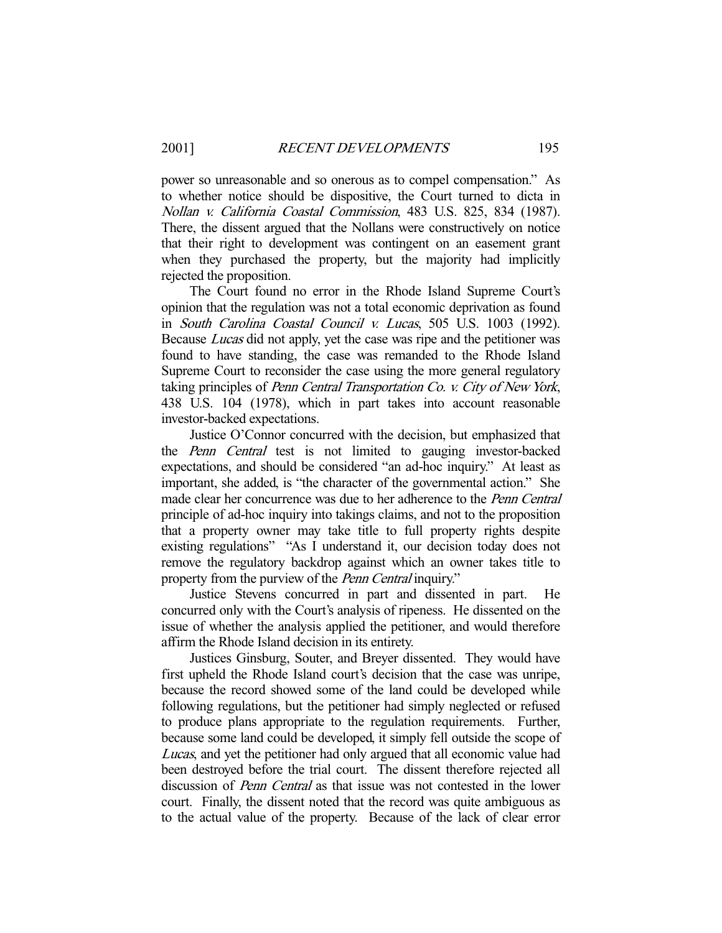power so unreasonable and so onerous as to compel compensation." As to whether notice should be dispositive, the Court turned to dicta in Nollan v. California Coastal Commission, 483 U.S. 825, 834 (1987). There, the dissent argued that the Nollans were constructively on notice that their right to development was contingent on an easement grant when they purchased the property, but the majority had implicitly rejected the proposition.

 The Court found no error in the Rhode Island Supreme Court's opinion that the regulation was not a total economic deprivation as found in South Carolina Coastal Council v. Lucas, 505 U.S. 1003 (1992). Because Lucas did not apply, yet the case was ripe and the petitioner was found to have standing, the case was remanded to the Rhode Island Supreme Court to reconsider the case using the more general regulatory taking principles of Penn Central Transportation Co. v. City of New York, 438 U.S. 104 (1978), which in part takes into account reasonable investor-backed expectations.

 Justice O'Connor concurred with the decision, but emphasized that the Penn Central test is not limited to gauging investor-backed expectations, and should be considered "an ad-hoc inquiry." At least as important, she added, is "the character of the governmental action." She made clear her concurrence was due to her adherence to the Penn Central principle of ad-hoc inquiry into takings claims, and not to the proposition that a property owner may take title to full property rights despite existing regulations" "As I understand it, our decision today does not remove the regulatory backdrop against which an owner takes title to property from the purview of the *Penn Central* inquiry."

 Justice Stevens concurred in part and dissented in part. He concurred only with the Court's analysis of ripeness. He dissented on the issue of whether the analysis applied the petitioner, and would therefore affirm the Rhode Island decision in its entirety.

 Justices Ginsburg, Souter, and Breyer dissented. They would have first upheld the Rhode Island court's decision that the case was unripe, because the record showed some of the land could be developed while following regulations, but the petitioner had simply neglected or refused to produce plans appropriate to the regulation requirements. Further, because some land could be developed, it simply fell outside the scope of Lucas, and yet the petitioner had only argued that all economic value had been destroyed before the trial court. The dissent therefore rejected all discussion of Penn Central as that issue was not contested in the lower court. Finally, the dissent noted that the record was quite ambiguous as to the actual value of the property. Because of the lack of clear error